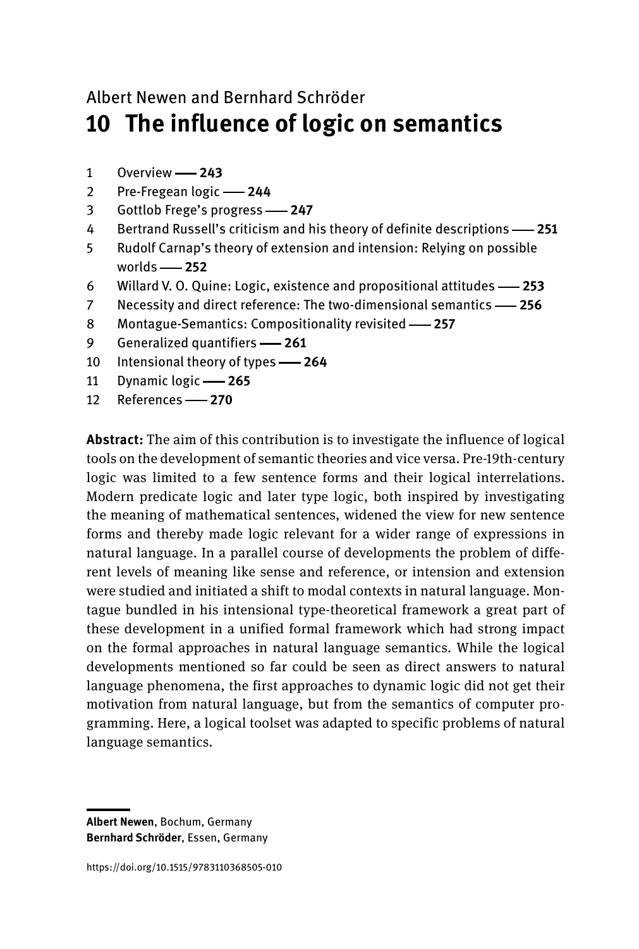Albert Newen and Bernhard Schröder

# **10 The influence of logic on semantics**

- 1 Overview **-243**
- 2 Pre-Fregean logic **-1244**
- 3 Gottlob Frege's progress **-1247**
- 4 Bertrand Russell's criticism and his theory of definite descriptions **251**
- 5 Rudolf Carnap's theory of extension and intension: Relying on possible worlds **252**
- 6 Willard V. O. Quine: Logic, existence and propositional attitudes **253**
- 7 Necessity and direct reference: The two-dimensional semantics **256**
- 8 Montague-Semantics: Compositionality revisited -257
- 9 Generalized quantifiers -261
- 10 Intensional theory of types -264
- 11 Dynamic logic **-1265**
- 12 References  **270**

**Abstract:** The aim of this contribution is to investigate the influence of logical tools on the development of semantic theories and vice versa. Pre-19th- century logic was limited to a few sentence forms and their logical interrelations. Modern predicate logic and later type logic, both inspired by investigating the meaning of mathematical sentences, widened the view for new sentence forms and thereby made logic relevant for a wider range of expressions in natural language. In a parallel course of developments the problem of different levels of meaning like sense and reference, or intension and extension were studied and initiated a shift to modal contexts in natural language. Montague bundled in his intensional type-theoretical framework a great part of these development in a unified formal framework which had strong impact on the formal approaches in natural language semantics. While the logical developments mentioned so far could be seen as direct answers to natural language phenomena, the first approaches to dynamic logic did not get their motivation from natural language, but from the semantics of computer programming. Here, a logical toolset was adapted to specific problems of natural language semantics.

**Albert Newen**, Bochum, Germany **Bernhard Schröder**, Essen, Germany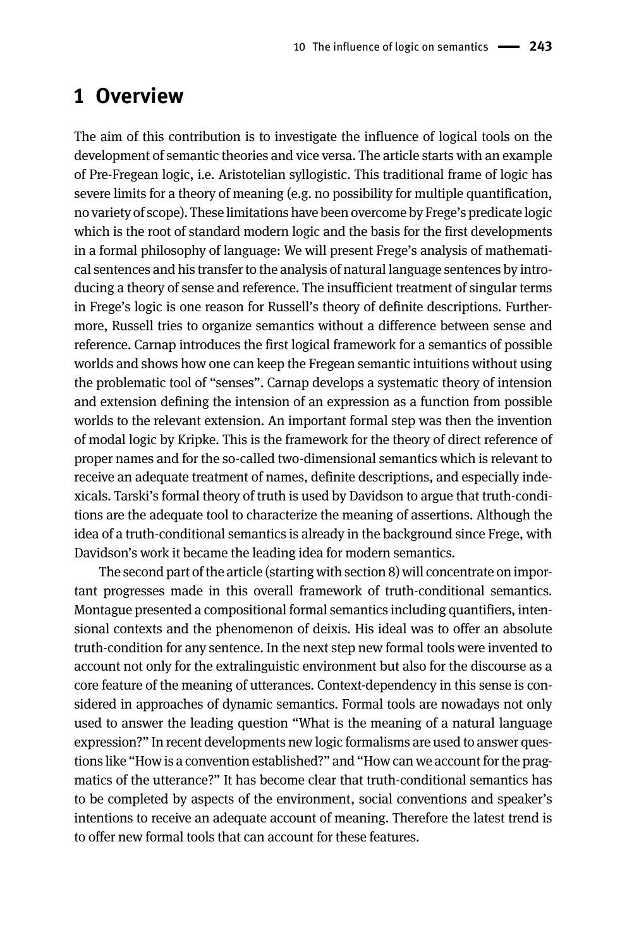#### **1 Overview**

The aim of this contribution is to investigate the influence of logical tools on the development of semantic theories and vice versa. The article starts with an example of Pre-Fregean logic, i.e. Aristotelian syllogistic. This traditional frame of logic has severe limits for a theory of meaning (e.g. no possibility for multiple quantification, no variety of scope). These limitations have been overcome by Frege's predicate logic which is the root of standard modern logic and the basis for the first developments in a formal philosophy of language: We will present Frege's analysis of mathematical sentences and his transfer to the analysis of natural language sentences by introducing a theory of sense and reference. The insufficient treatment of singular terms in Frege's logic is one reason for Russell's theory of definite descriptions. Furthermore, Russell tries to organize semantics without a difference between sense and reference. Carnap introduces the first logical framework for a semantics of possible worlds and shows how one can keep the Fregean semantic intuitions without using the problematic tool of "senses". Carnap develops a systematic theory of intension and extension defining the intension of an expression as a function from possible worlds to the relevant extension. An important formal step was then the invention of modal logic by Kripke. This is the framework for the theory of direct reference of proper names and for the so-called two-dimensional semantics which is relevant to receive an adequate treatment of names, definite descriptions, and especially indexicals. Tarski's formal theory of truth is used by Davidson to argue that truth-conditions are the adequate tool to characterize the meaning of assertions. Although the idea of a truth-conditional semantics is already in the background since Frege, with Davidson's work it became the leading idea for modern semantics.

The second part of the article (starting with section 8) will concentrate on important progresses made in this overall framework of truth-conditional semantics. Montague presented a compositional formal semantics including quantifiers, intensional contexts and the phenomenon of deixis. His ideal was to offer an absolute truth-condition for any sentence. In the next step new formal tools were invented to account not only for the extralinguistic environment but also for the discourse as a core feature of the meaning of utterances. Context-dependency in this sense is considered in approaches of dynamic semantics. Formal tools are nowadays not only used to answer the leading question "What is the meaning of a natural language expression?" In recent developments new logic formalisms are used to answer questions like "How is a convention established?" and "How can we account for the pragmatics of the utterance?" It has become clear that truth-conditional semantics has to be completed by aspects of the environment, social conventions and speaker's intentions to receive an adequate account of meaning. Therefore the latest trend is to offer new formal tools that can account for these features.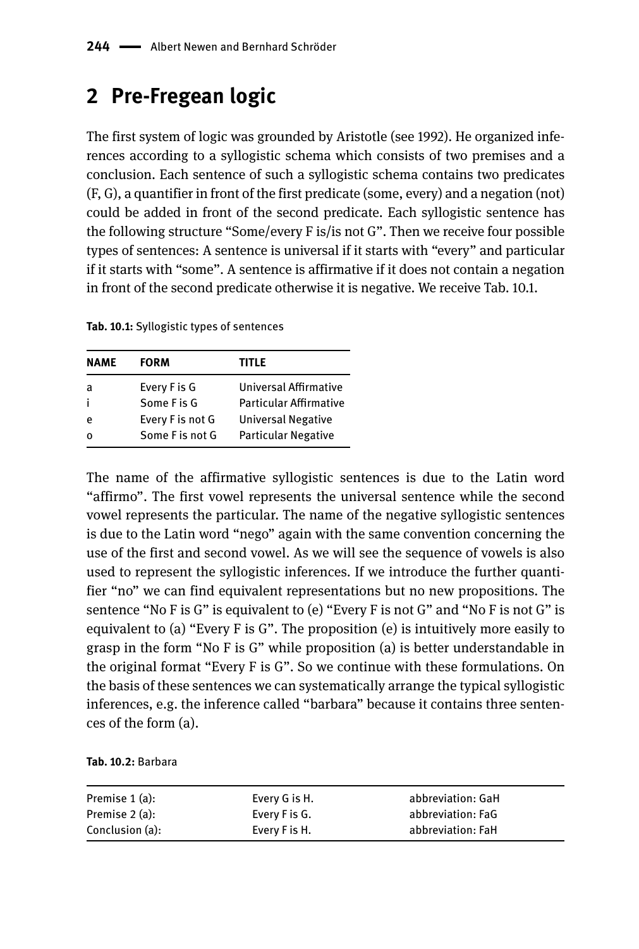## **2 Pre-Fregean logic**

The first system of logic was grounded by Aristotle (see 1992). He organized inferences according to a syllogistic schema which consists of two premises and a conclusion. Each sentence of such a syllogistic schema contains two predicates (F, G), a quantifier in front of the first predicate (some, every) and a negation (not) could be added in front of the second predicate. Each syllogistic sentence has the following structure "Some/every F is/is not G". Then we receive four possible types of sentences: A sentence is universal if it starts with "every" and particular if it starts with "some". A sentence is affirmative if it does not contain a negation in front of the second predicate otherwise it is negative. We receive Tab. 10.1.

| <b>NAME</b> | <b>FORM</b>      | TITLE                        |  |  |
|-------------|------------------|------------------------------|--|--|
| a           | Every F is G     | <b>Universal Affirmative</b> |  |  |
| i           | Some F is G      | Particular Affirmative       |  |  |
| e           | Every F is not G | Universal Negative           |  |  |
| 0           | Some F is not G  | <b>Particular Negative</b>   |  |  |

**Tab. 10.1:** Syllogistic types of sentences

The name of the affirmative syllogistic sentences is due to the Latin word "affirmo". The first vowel represents the universal sentence while the second vowel represents the particular. The name of the negative syllogistic sentences is due to the Latin word "nego" again with the same convention concerning the use of the first and second vowel. As we will see the sequence of vowels is also used to represent the syllogistic inferences. If we introduce the further quantifier "no" we can find equivalent representations but no new propositions. The sentence "No F is G" is equivalent to (e) "Every F is not G" and "No F is not G" is equivalent to (a) "Every F is G". The proposition (e) is intuitively more easily to grasp in the form "No F is G" while proposition (a) is better understandable in the original format "Every F is G". So we continue with these formulations. On the basis of these sentences we can systematically arrange the typical syllogistic inferences, e.g. the inference called "barbara" because it contains three sentences of the form (a).

| Premise 1 (a):  | Every G is H. | abbreviation: GaH |
|-----------------|---------------|-------------------|
| Premise 2 (a):  | Every F is G. | abbreviation: FaG |
| Conclusion (a): | Every F is H. | abbreviation: FaH |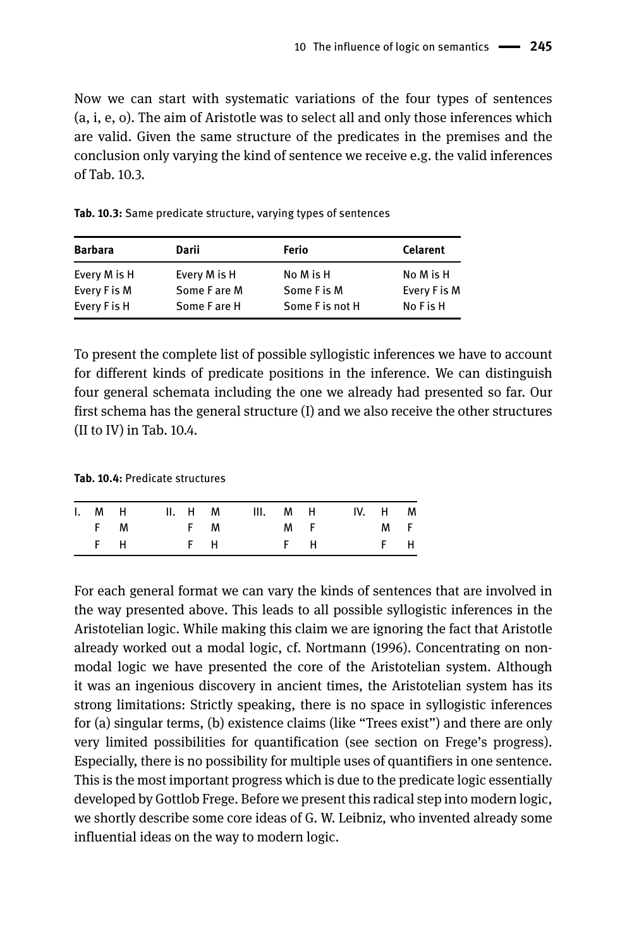Now we can start with systematic variations of the four types of sentences (a, i, e, o). The aim of Aristotle was to select all and only those inferences which are valid. Given the same structure of the predicates in the premises and the conclusion only varying the kind of sentence we receive e.g. the valid inferences  $of$  Tab.  $10.3$ 

| <b>Barbara</b> | <b>Darii</b> | Ferio           | <b>Celarent</b> |
|----------------|--------------|-----------------|-----------------|
| Every M is H   | Every M is H | No M is H       | No M is H       |
| Every F is M   | Some Fare M  | Some F is M     | Every F is M    |
| Every F is H   | Some Fare H  | Some F is not H | No F is H       |

**Tab. 10.3:** Same predicate structure, varying types of sentences

To present the complete list of possible syllogistic inferences we have to account for different kinds of predicate positions in the inference. We can distinguish four general schemata including the one we already had presented so far. Our first schema has the general structure (I) and we also receive the other structures (II to IV) in Tab. 10.4.

**Tab. 10.4:** Predicate structures

| I. M H |     |     |     |     |     | II. H $M$ III. $M$ H IV. H $M$ |     |
|--------|-----|-----|-----|-----|-----|--------------------------------|-----|
| F M    |     | F M |     | M F |     | <b>MF</b>                      |     |
|        | F H |     | F H |     | F H |                                | F H |

For each general format we can vary the kinds of sentences that are involved in the way presented above. This leads to all possible syllogistic inferences in the Aristotelian logic. While making this claim we are ignoring the fact that Aristotle already worked out a modal logic, cf. Nortmann (1996). Concentrating on nonmodal logic we have presented the core of the Aristotelian system. Although it was an ingenious discovery in ancient times, the Aristotelian system has its strong limitations: Strictly speaking, there is no space in syllogistic inferences for (a) singular terms, (b) existence claims (like "Trees exist") and there are only very limited possibilities for quantification (see section on Frege's progress). Especially, there is no possibility for multiple uses of quantifiers in one sentence. This is the most important progress which is due to the predicate logic essentially developed by Gottlob Frege. Before we present this radical step into modern logic, we shortly describe some core ideas of G. W. Leibniz, who invented already some influential ideas on the way to modern logic.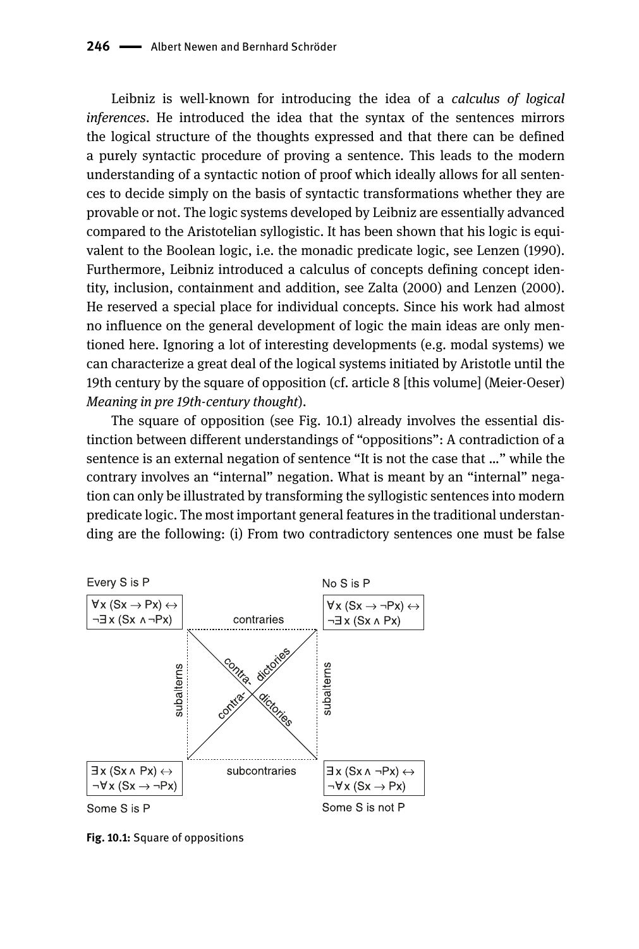Leibniz is well-known for introducing the idea of a *calculus of logical inferences*. He introduced the idea that the syntax of the sentences mirrors the logical structure of the thoughts expressed and that there can be defined a purely syntactic procedure of proving a sentence. This leads to the modern understanding of a syntactic notion of proof which ideally allows for all sentences to decide simply on the basis of syntactic transformations whether they are provable or not. The logic systems developed by Leibniz are essentially advanced compared to the Aristotelian syllogistic. It has been shown that his logic is equivalent to the Boolean logic, i.e. the monadic predicate logic, see Lenzen (1990). Furthermore, Leibniz introduced a calculus of concepts defining concept identity, inclusion, containment and addition, see Zalta (2000) and Lenzen (2000). He reserved a special place for individual concepts. Since his work had almost no influence on the general development of logic the main ideas are only mentioned here. Ignoring a lot of interesting developments (e.g. modal systems) we can characterize a great deal of the logical systems initiated by Aristotle until the 19th century by the square of opposition (cf. article 8 [this volume] (Meier-Oeser) *Meaning in pre 19th-century thought*).

The square of opposition (see Fig. 10.1) already involves the essential distinction between different understandings of "oppositions": A contradiction of a sentence is an external negation of sentence "It is not the case that …" while the contrary involves an "internal" negation. What is meant by an "internal" negation can only be illustrated by transforming the syllogistic sentences into modern predicate logic. The most important general features in the traditional understanding are the following: (i) From two contradictory sentences one must be false



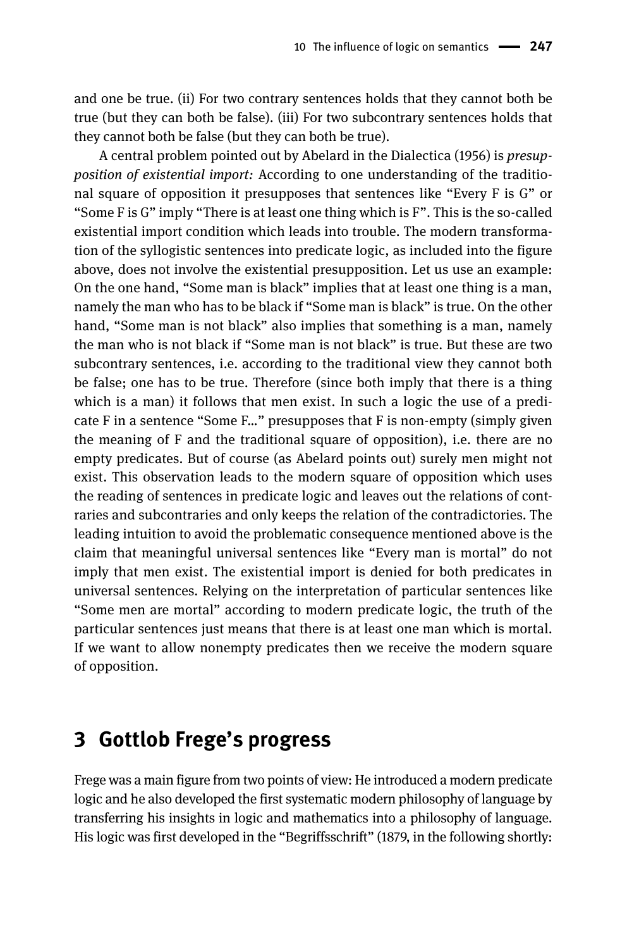and one be true. (ii) For two contrary sentences holds that they cannot both be true (but they can both be false). (iii) For two subcontrary sentences holds that they cannot both be false (but they can both be true).

A central problem pointed out by Abelard in the Dialectica (1956) is *presupposition of existential import:* According to one understanding of the traditional square of opposition it presupposes that sentences like "Every F is G" or "Some F is G" imply "There is at least one thing which is F". This is the so-called existential import condition which leads into trouble. The modern transformation of the syllogistic sentences into predicate logic, as included into the figure above, does not involve the existential presupposition. Let us use an example: On the one hand, "Some man is black" implies that at least one thing is a man, namely the man who has to be black if "Some man is black" is true. On the other hand, "Some man is not black" also implies that something is a man, namely the man who is not black if "Some man is not black" is true. But these are two subcontrary sentences, i.e. according to the traditional view they cannot both be false; one has to be true. Therefore (since both imply that there is a thing which is a man) it follows that men exist. In such a logic the use of a predicate F in a sentence "Some F…" presupposes that F is non-empty (simply given the meaning of F and the traditional square of opposition), i.e. there are no empty predicates. But of course (as Abelard points out) surely men might not exist. This observation leads to the modern square of opposition which uses the reading of sentences in predicate logic and leaves out the relations of contraries and subcontraries and only keeps the relation of the contradictories. The leading intuition to avoid the problematic consequence mentioned above is the claim that meaningful universal sentences like "Every man is mortal" do not imply that men exist. The existential import is denied for both predicates in universal sentences. Relying on the interpretation of particular sentences like "Some men are mortal" according to modern predicate logic, the truth of the particular sentences just means that there is at least one man which is mortal. If we want to allow nonempty predicates then we receive the modern square of opposition.

#### **3 Gottlob Frege's progress**

Frege was a main figure from two points of view: He introduced a modern predicate logic and he also developed the first systematic modern philosophy of language by transferring his insights in logic and mathematics into a philosophy of language. His logic was first developed in the "Begriffs schrift" (1879, in the following shortly: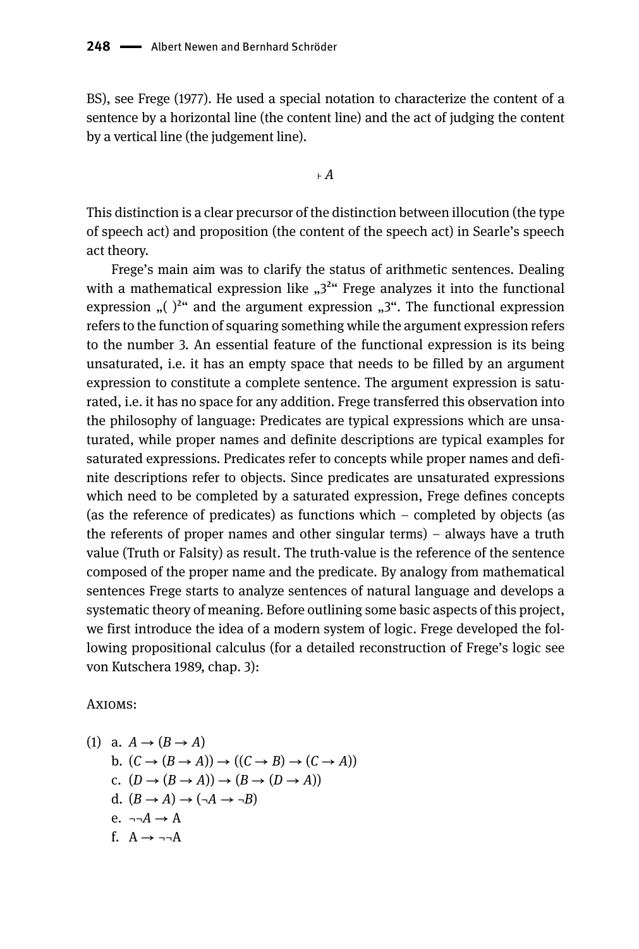BS), see Frege (1977). He used a special notation to characterize the content of a sentence by a horizontal line (the content line) and the act of judging the content by a vertical line (the judgement line).

˫ *A*

This distinction is a clear precursor of the distinction between illocution (the type of speech act) and proposition (the content of the speech act) in Searle's speech act theory.

Frege's main aim was to clarify the status of arithmetic sentences. Dealing with a mathematical expression like  $\mu$ <sup>24</sup> Frege analyzes it into the functional expression  $( )^{2\alpha}$  and the argument expression  $, 3^{\alpha}$ . The functional expression refers to the function of squaring something while the argument expression refers to the number 3. An essential feature of the functional expression is its being unsaturated, i.e. it has an empty space that needs to be filled by an argument expression to constitute a complete sentence. The argument expression is saturated, i.e. it has no space for any addition. Frege transferred this observation into the philosophy of language: Predicates are typical expressions which are unsaturated, while proper names and definite descriptions are typical examples for saturated expressions. Predicates refer to concepts while proper names and definite descriptions refer to objects. Since predicates are unsaturated expressions which need to be completed by a saturated expression, Frege defines concepts (as the reference of predicates) as functions which – completed by objects (as the referents of proper names and other singular terms) – always have a truth value (Truth or Falsity) as result. The truth-value is the reference of the sentence composed of the proper name and the predicate. By analogy from mathematical sentences Frege starts to analyze sentences of natural language and develops a systematic theory of meaning. Before outlining some basic aspects of this project, we first introduce the idea of a modern system of logic. Frege developed the following propositional calculus (for a detailed reconstruction of Frege's logic see von Kutschera 1989, chap. 3):

Axioms:

(1) a. 
$$
A \rightarrow (B \rightarrow A)
$$
  
\nb.  $(C \rightarrow (B \rightarrow A)) \rightarrow ((C \rightarrow B) \rightarrow (C \rightarrow A))$   
\nc.  $(D \rightarrow (B \rightarrow A)) \rightarrow (B \rightarrow (D \rightarrow A))$   
\nd.  $(B \rightarrow A) \rightarrow (\neg A \rightarrow \neg B)$   
\ne.  $\neg \neg A \rightarrow A$   
\nf.  $A \rightarrow \neg A$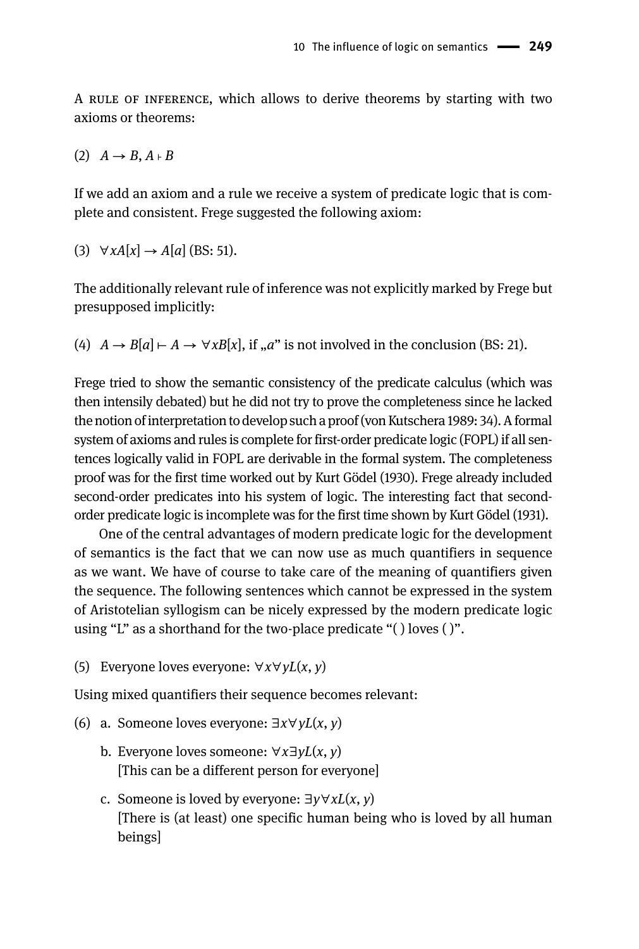A rule of inference, which allows to derive theorems by starting with two axioms or theorems:

$$
(2) A \rightarrow B, A \models B
$$

If we add an axiom and a rule we receive a system of predicate logic that is complete and consistent. Frege suggested the following axiom:

 $(3)$   $\forall$ *xA*[*x*]  $\rightarrow$  *A*[*a*] (BS: 51).

The additionally relevant rule of inference was not explicitly marked by Frege but presupposed implicitly:

(4)  $A \rightarrow B[a] \mapsto A \rightarrow \forall x B[x]$ , if  $\alpha$ " is not involved in the conclusion (BS: 21).

Frege tried to show the semantic consistency of the predicate calculus (which was then intensily debated) but he did not try to prove the completeness since he lacked the notion of interpretation to develop such a proof (von Kutschera 1989: 34). A formal system of axioms and rules is complete for first-order predicate logic (FOPL) if all sentences logically valid in FOPL are derivable in the formal system. The completeness proof was for the first time worked out by Kurt Gödel (1930). Frege already included second-order predicates into his system of logic. The interesting fact that secondorder predicate logic is incomplete was for the first time shown by Kurt Gödel (1931).

One of the central advantages of modern predicate logic for the development of semantics is the fact that we can now use as much quantifiers in sequence as we want. We have of course to take care of the meaning of quantifiers given the sequence. The following sentences which cannot be expressed in the system of Aristotelian syllogism can be nicely expressed by the modern predicate logic using "L" as a shorthand for the two-place predicate "( ) loves ( )".

(5) Everyone loves everyone: ∀*x*∀*yL*(*x*, *y*)

Using mixed quantifiers their sequence becomes relevant:

- (6) a. Someone loves everyone: ∃*x*∀*yL*(*x*, *y*)
	- b. Everyone loves someone: ∀*x*∃*yL*(*x*, *y*) [This can be a different person for everyone]
	- c. Someone is loved by everyone: ∃*y*∀*xL*(*x*, *y*) [There is (at least) one specific human being who is loved by all human beings]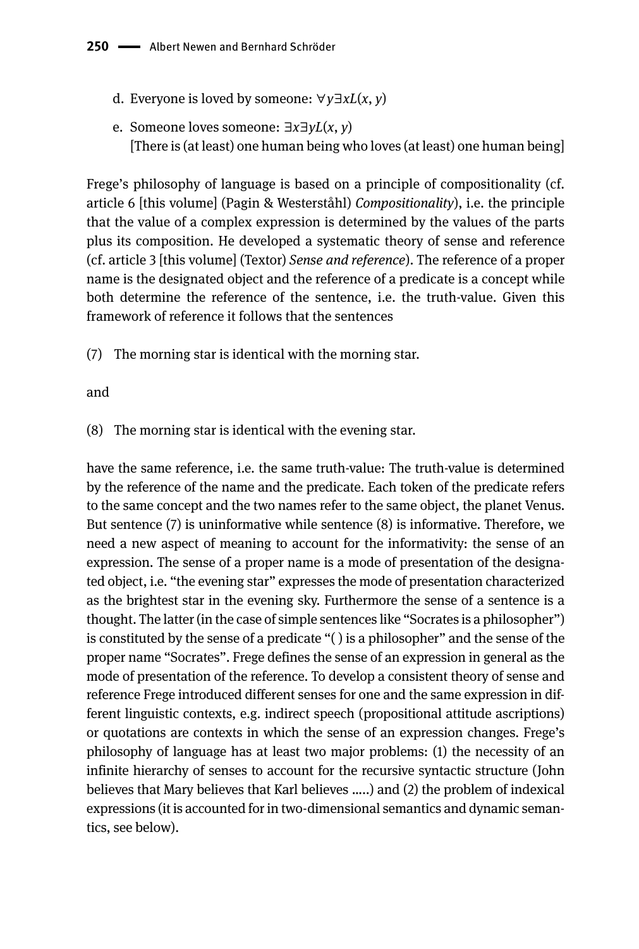- d. Everyone is loved by someone: ∀*y*∃*xL*(*x*, *y*)
- e. Someone loves someone: ∃*x*∃*yL*(*x*, *y*) [There is (at least) one human being who loves (at least) one human being]

Frege's philosophy of language is based on a principle of compositionality (cf. article 6 [this volume] (Pagin & Westerståhl) *Compositionality*), i.e. the principle that the value of a complex expression is determined by the values of the parts plus its composition. He developed a systematic theory of sense and reference (cf. article 3 [this volume] (Textor) *Sense and reference*). The reference of a proper name is the designated object and the reference of a predicate is a concept while both determine the reference of the sentence, i.e. the truth-value. Given this framework of reference it follows that the sentences

(7) The morning star is identical with the morning star.

and

(8) The morning star is identical with the evening star.

have the same reference, i.e. the same truth-value: The truth-value is determined by the reference of the name and the predicate. Each token of the predicate refers to the same concept and the two names refer to the same object, the planet Venus. But sentence (7) is uninformative while sentence (8) is informative. Therefore, we need a new aspect of meaning to account for the informativity: the sense of an expression. The sense of a proper name is a mode of presentation of the designated object, i.e. "the evening star" expresses the mode of presentation characterized as the brightest star in the evening sky. Furthermore the sense of a sentence is a thought. The latter (in the case of simple sentences like "Socrates is a philosopher") is constituted by the sense of a predicate "( ) is a philosopher" and the sense of the proper name "Socrates". Frege defines the sense of an expression in general as the mode of presentation of the reference. To develop a consistent theory of sense and reference Frege introduced different senses for one and the same expression in different linguistic contexts, e.g. indirect speech (propositional attitude ascriptions) or quotations are contexts in which the sense of an expression changes. Frege's philosophy of language has at least two major problems: (1) the necessity of an infinite hierarchy of senses to account for the recursive syntactic structure (John believes that Mary believes that Karl believes …..) and (2) the problem of indexical expressions (it is accounted for in two-dimensional semantics and dynamic semantics, see below).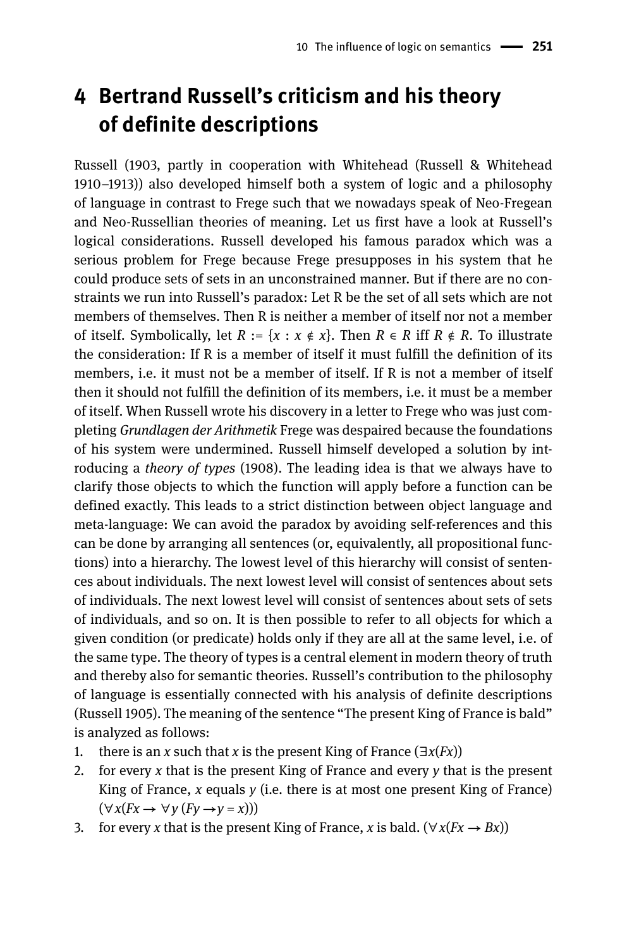## **4 Bertrand Russell's criticism and his theory of definite descriptions**

Russell (1903, partly in cooperation with Whitehead (Russell & Whitehead 1910–1913)) also developed himself both a system of logic and a philosophy of language in contrast to Frege such that we nowadays speak of Neo-Fregean and Neo- Russellian theories of meaning. Let us first have a look at Russell's logical considerations. Russell developed his famous paradox which was a serious problem for Frege because Frege presupposes in his system that he could produce sets of sets in an unconstrained manner. But if there are no constraints we run into Russell's paradox: Let R be the set of all sets which are not members of themselves. Then R is neither a member of itself nor not a member of itself. Symbolically, let  $R := \{x : x \notin x\}$ . Then  $R \in R$  iff  $R \notin R$ . To illustrate the consideration: If R is a member of itself it must fulfill the definition of its members, i.e. it must not be a member of itself. If R is not a member of itself then it should not fulfill the definition of its members, i.e. it must be a member of itself. When Russell wrote his discovery in a letter to Frege who was just completing *Grundlagen der Arithmetik* Frege was despaired because the foundations of his system were undermined. Russell himself developed a solution by introducing a *theory of types* (1908). The leading idea is that we always have to clarify those objects to which the function will apply before a function can be defined exactly. This leads to a strict distinction between object language and meta-language: We can avoid the paradox by avoiding self-references and this can be done by arranging all sentences (or, equivalently, all propositional functions) into a hierarchy. The lowest level of this hierarchy will consist of sentences about individuals. The next lowest level will consist of sentences about sets of individuals. The next lowest level will consist of sentences about sets of sets of individuals, and so on. It is then possible to refer to all objects for which a given condition (or predicate) holds only if they are all at the same level, i.e. of the same type. The theory of types is a central element in modern theory of truth and thereby also for semantic theories. Russell's contribution to the philosophy of language is essentially connected with his analysis of definite descriptions (Russell 1905). The meaning of the sentence "The present King of France is bald" is analyzed as follows:

- 1. there is an *x* such that *x* is the present King of France ( $\exists x(Fx)$ )<br>2. for every *x* that is the present King of France and every *y* tha
- 2. for every *x* that is the present King of France and every *y* that is the present King of France,  $x$  equals  $y$  (i.e. there is at most one present King of France)  $(\forall x (Fx \rightarrow \forall y (Fy \rightarrow y = x)))$
- 3. for every *x* that is the present King of France, *x* is bald. ( $\forall x(Fx \rightarrow Bx)$ )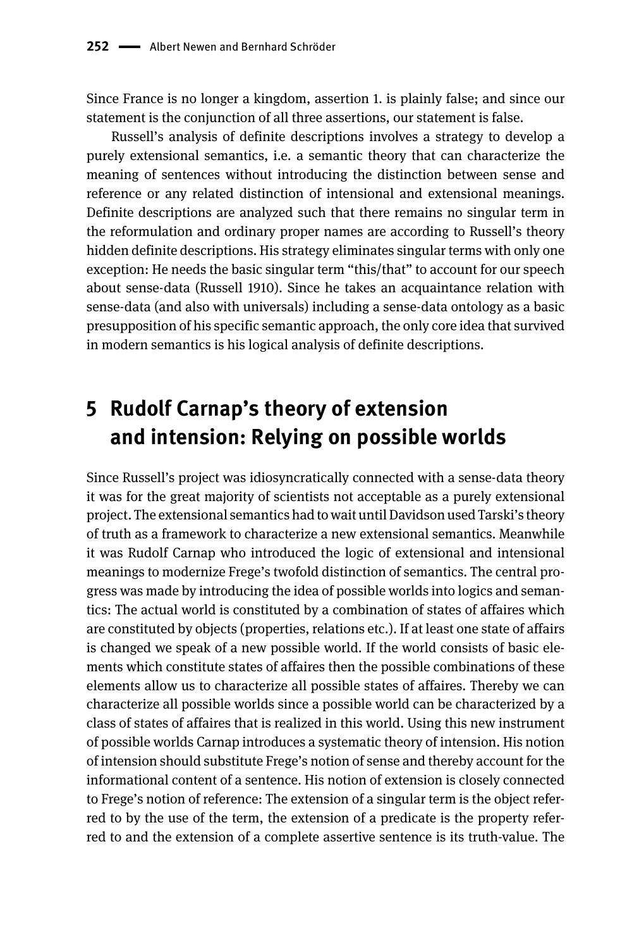Since France is no longer a kingdom, assertion 1. is plainly false; and since our statement is the conjunction of all three assertions, our statement is false.

Russell's analysis of definite descriptions involves a strategy to develop a purely extensional semantics, i.e. a semantic theory that can characterize the meaning of sentences without introducing the distinction between sense and reference or any related distinction of intensional and extensional meanings. Definite descriptions are analyzed such that there remains no singular term in the reformulation and ordinary proper names are according to Russell's theory hidden definite descriptions. His strategy eliminates singular terms with only one exception: He needs the basic singular term "this/that" to account for our speech about sense-data (Russell 1910). Since he takes an acquaintance relation with sense-data (and also with universals) including a sense-data ontology as a basic presupposition of his specific semantic approach, the only core idea that survived in modern semantics is his logical analysis of definite descriptions.

## **5 Rudolf Carnap's theory of extension and intension: Relying on possible worlds**

Since Russell's project was idiosyncratically connected with a sense-data theory it was for the great majority of scientists not acceptable as a purely extensional project. The extensional semantics had to wait until Davidson used Tarski's theory of truth as a framework to characterize a new extensional semantics. Meanwhile it was Rudolf Carnap who introduced the logic of extensional and intensional meanings to modernize Frege's twofold distinction of semantics. The central progress was made by introducing the idea of possible worlds into logics and semantics: The actual world is constituted by a combination of states of affaires which are constituted by objects (properties, relations etc.). If at least one state of affairs is changed we speak of a new possible world. If the world consists of basic elements which constitute states of affaires then the possible combinations of these elements allow us to characterize all possible states of affaires. Thereby we can characterize all possible worlds since a possible world can be characterized by a class of states of affaires that is realized in this world. Using this new instrument of possible worlds Carnap introduces a systematic theory of intension. His notion of intension should substitute Frege's notion of sense and thereby account for the informational content of a sentence. His notion of extension is closely connected to Frege's notion of reference: The extension of a singular term is the object referred to by the use of the term, the extension of a predicate is the property referred to and the extension of a complete assertive sentence is its truth-value. The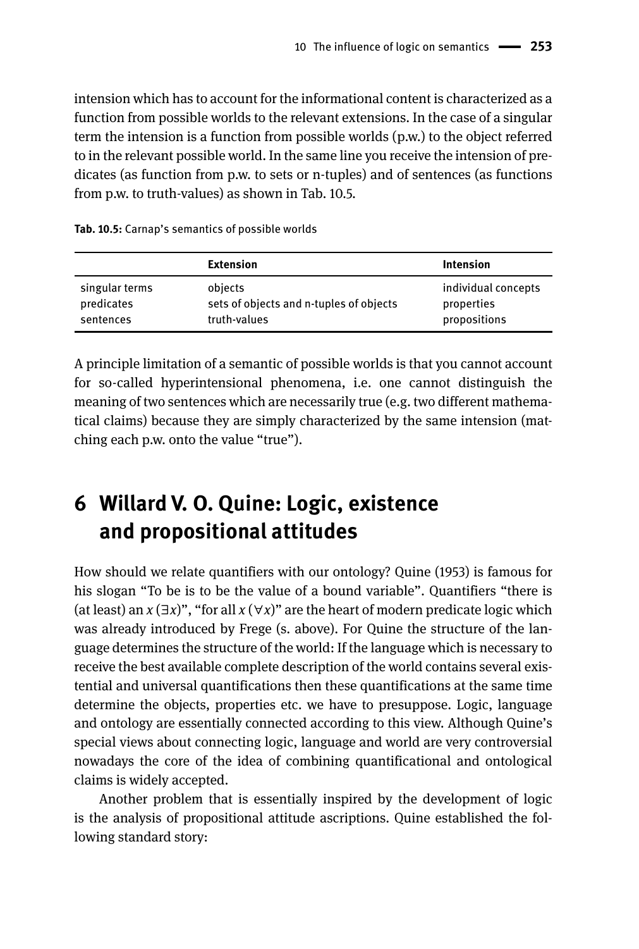intension which has to account for the informational content is characterized as a function from possible worlds to the relevant extensions. In the case of a singular term the intension is a function from possible worlds (p.w.) to the object referred to in the relevant possible world. In the same line you receive the intension of predicates (as function from p.w. to sets or n-tuples) and of sentences (as functions from p.w. to truth-values) as shown in Tab. 10.5.

|  | <b>Tab. 10.5:</b> Carnap's semantics of possible worlds |  |  |
|--|---------------------------------------------------------|--|--|
|  |                                                         |  |  |

|                | <b>Extension</b>                        | Intension           |
|----------------|-----------------------------------------|---------------------|
| singular terms | objects                                 | individual concepts |
| predicates     | sets of objects and n-tuples of objects | properties          |
| sentences      | truth-values                            | propositions        |

A principle limitation of a semantic of possible worlds is that you cannot account for so-called hyperintensional phenomena, i.e. one cannot distinguish the meaning of two sentences which are necessarily true (e.g. two different mathematical claims) because they are simply characterized by the same intension (matching each p.w. onto the value "true").

## **6 Willard V. O. Quine: Logic, existence and propositional attitudes**

How should we relate quantifiers with our ontology? Quine (1953) is famous for his slogan "To be is to be the value of a bound variable". Quantifiers "there is (at least) an *x* (∃*x*)", "for all *x* (∀*x*)" are the heart of modern predicate logic which was already introduced by Frege (s. above). For Quine the structure of the language determines the structure of the world: If the language which is necessary to receive the best available complete description of the world contains several existential and universal quantifications then these quantifications at the same time determine the objects, properties etc. we have to presuppose. Logic, language and ontology are essentially connected according to this view. Although Quine's special views about connecting logic, language and world are very controversial nowadays the core of the idea of combining quantificational and ontological claims is widely accepted.

Another problem that is essentially inspired by the development of logic is the analysis of propositional attitude ascriptions. Quine established the following standard story: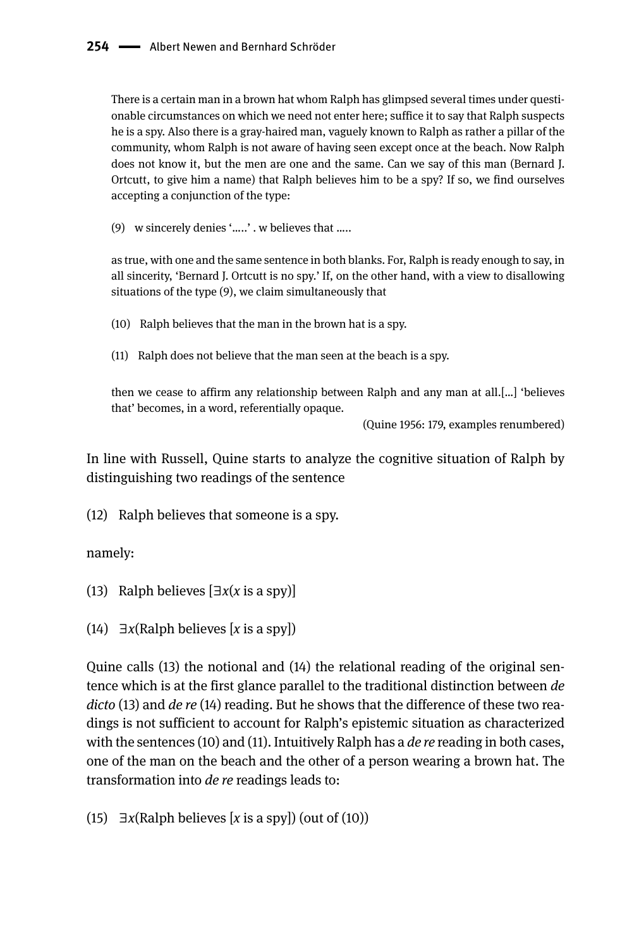There is a certain man in a brown hat whom Ralph has glimpsed several times under questionable circumstances on which we need not enter here; suffice it to say that Ralph suspects he is a spy. Also there is a gray-haired man, vaguely known to Ralph as rather a pillar of the community, whom Ralph is not aware of having seen except once at the beach. Now Ralph does not know it, but the men are one and the same. Can we say of this man (Bernard J. Ortcutt, to give him a name) that Ralph believes him to be a spy? If so, we find ourselves accepting a conjunction of the type:

(9) w sincerely denies '…..' . w believes that …..

as true, with one and the same sentence in both blanks. For, Ralph is ready enough to say, in all sincerity, 'Bernard J. Ortcutt is no spy.' If, on the other hand, with a view to disallowing situations of the type (9), we claim simultaneously that

- (10) Ralph believes that the man in the brown hat is a spy.
- (11) Ralph does not believe that the man seen at the beach is a spy.

then we cease to affirm any relationship between Ralph and any man at all.[…] 'believes that' becomes, in a word, referentially opaque.

(Quine 1956: 179, examples renumbered)

In line with Russell, Quine starts to analyze the cognitive situation of Ralph by distinguishing two readings of the sentence

(12) Ralph believes that someone is a spy.

namely:

- (13) Ralph believes [∃*x*(*x* is a spy)]
- (14) ∃*x*(Ralph believes [*x* is a spy])

Quine calls (13) the notional and (14) the relational reading of the original sentence which is at the first glance parallel to the traditional distinction between *de dicto* (13) and *de re* (14) reading. But he shows that the difference of these two readings is not sufficient to account for Ralph's epistemic situation as characterized with the sentences (10) and (11). Intuitively Ralph has a *de re* reading in both cases, one of the man on the beach and the other of a person wearing a brown hat. The transformation into *de re* readings leads to:

(15) ∃*x*(Ralph believes [*x* is a spy]) (out of (10))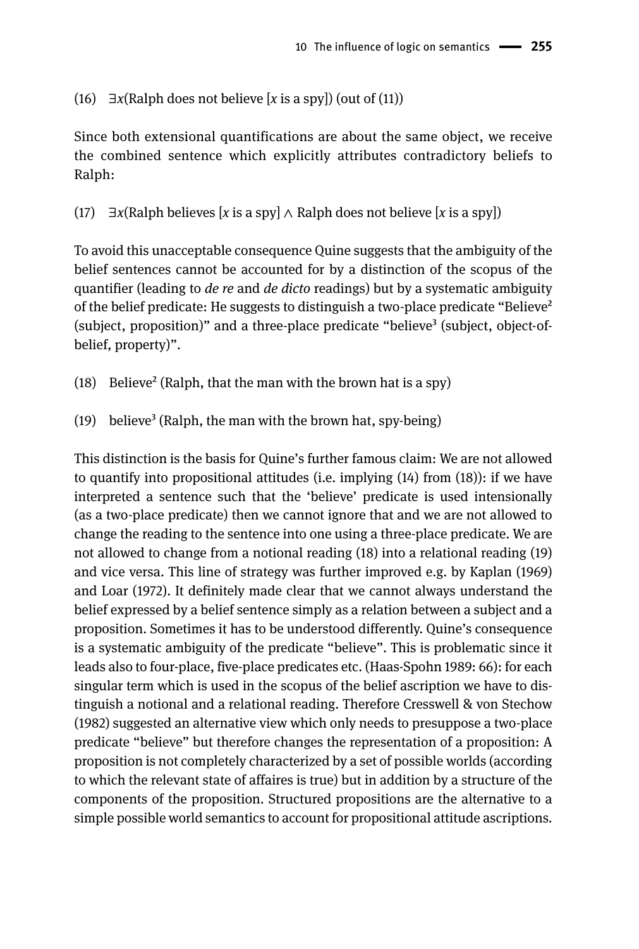(16) ∃*x*(Ralph does not believe [*x* is a spy]) (out of (11))

Since both extensional quantifications are about the same object, we receive the combined sentence which explicitly attributes contradictory beliefs to Ralph:

(17) ∃*x*(Ralph believes [*x* is a spy] ∧ Ralph does not believe [*x* is a spy])

To avoid this unacceptable consequence Quine suggests that the ambiguity of the belief sentences cannot be accounted for by a distinction of the scopus of the quantifier (leading to *de re* and *de dicto* readings) but by a systematic ambiguity of the belief predicate: He suggests to distinguish a two-place predicate "Believe2 (subject, proposition)" and a three-place predicate "believe<sup>3</sup> (subject, object-ofbelief, property)".

(18) Believe<sup>2</sup> (Ralph, that the man with the brown hat is a spy)

(19) believe<sup>3</sup> (Ralph, the man with the brown hat, spy-being)

This distinction is the basis for Quine's further famous claim: We are not allowed to quantify into propositional attitudes (i.e. implying (14) from (18)): if we have interpreted a sentence such that the 'believe' predicate is used intensionally (as a two-place predicate) then we cannot ignore that and we are not allowed to change the reading to the sentence into one using a three-place predicate. We are not allowed to change from a notional reading (18) into a relational reading (19) and vice versa. This line of strategy was further improved e.g. by Kaplan (1969) and Loar (1972). It definitely made clear that we cannot always understand the belief expressed by a belief sentence simply as a relation between a subject and a proposition. Sometimes it has to be understood differently. Quine's consequence is a systematic ambiguity of the predicate "believe". This is problematic since it leads also to four-place, five-place predicates etc. (Haas-Spohn 1989: 66): for each singular term which is used in the scopus of the belief ascription we have to distinguish a notional and a relational reading. Therefore Cresswell & von Stechow (1982) suggested an alternative view which only needs to presuppose a two-place predicate "believe" but therefore changes the representation of a proposition: A proposition is not completely characterized by a set of possible worlds (according to which the relevant state of affaires is true) but in addition by a structure of the components of the proposition. Structured propositions are the alternative to a simple possible world semantics to account for propositional attitude ascriptions.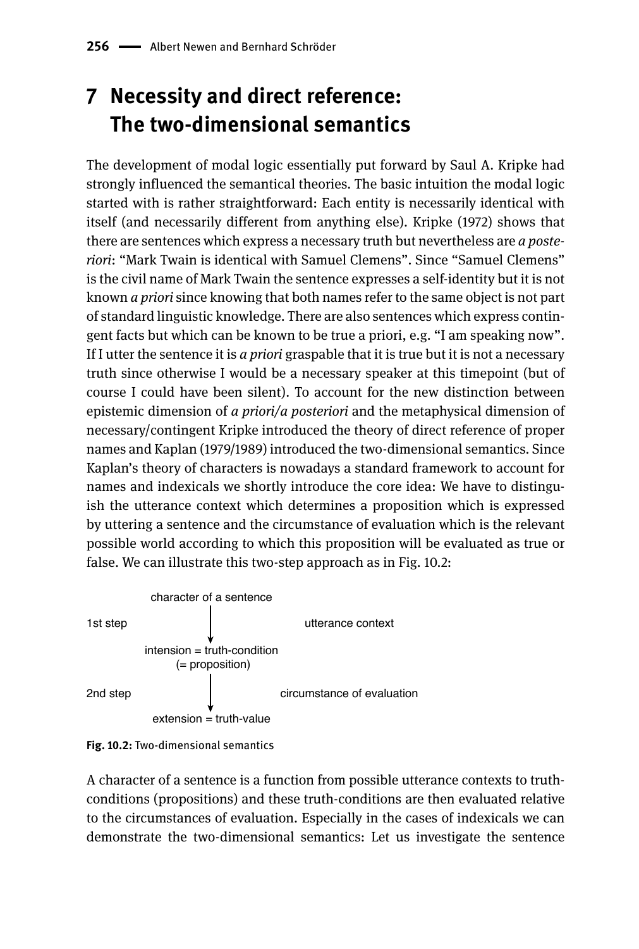## **7 Necessity and direct reference: The two-dimensional semantics**

The development of modal logic essentially put forward by Saul A. Kripke had strongly influenced the semantical theories. The basic intuition the modal logic started with is rather straightforward: Each entity is necessarily identical with itself (and necessarily different from anything else). Kripke (1972) shows that there are sentences which express a necessary truth but nevertheless are *a posteriori*: "Mark Twain is identical with Samuel Clemens". Since "Samuel Clemens" is the civil name of Mark Twain the sentence expresses a self-identity but it is not known *a priori* since knowing that both names refer to the same object is not part of standard linguistic knowledge. There are also sentences which express contingent facts but which can be known to be true a priori, e.g. "I am speaking now". If I utter the sentence it is *a priori* graspable that it is true but it is not a necessary truth since otherwise I would be a necessary speaker at this timepoint (but of course I could have been silent). To account for the new distinction between epistemic dimension of *a priori/a posteriori* and the metaphysical dimension of necessary/contingent Kripke introduced the theory of direct reference of proper names and Kaplan (1979/1989) introduced the two-dimensional semantics. Since Kaplan's theory of characters is nowadays a standard framework to account for names and indexicals we shortly introduce the core idea: We have to distinguish the utterance context which determines a proposition which is expressed by uttering a sentence and the circumstance of evaluation which is the relevant possible world according to which this proposition will be evaluated as true or false. We can illustrate this two-step approach as in Fig. 10.2:





A character of a sentence is a function from possible utterance contexts to truthconditions (propositions) and these truth-conditions are then evaluated relative to the circumstances of evaluation. Especially in the cases of indexicals we can demonstrate the two-dimensional semantics: Let us investigate the sentence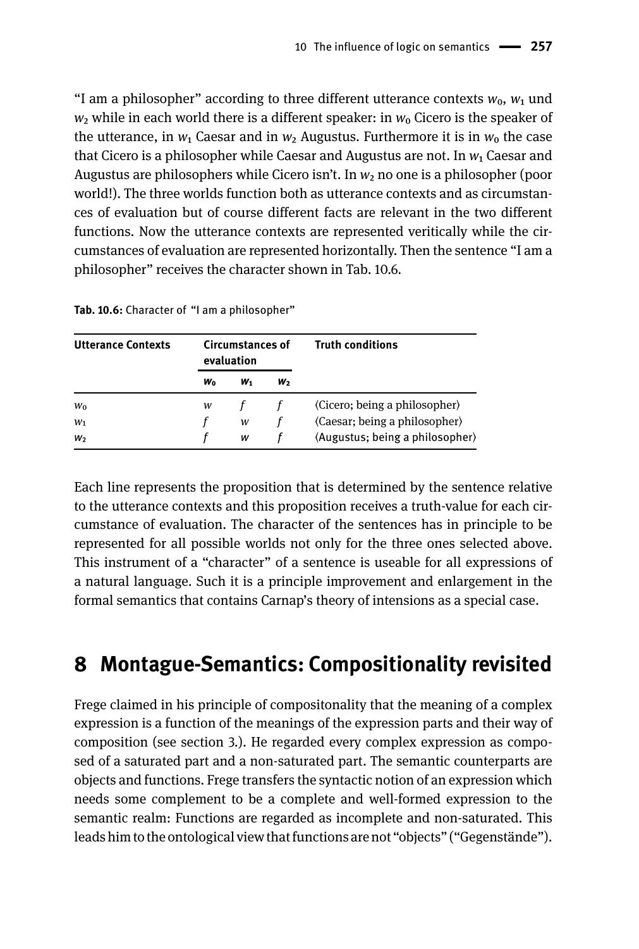"I am a philosopher" according to three different utterance contexts  $w_0$ ,  $w_1$  und  $w_2$  while in each world there is a different speaker: in  $w_0$  Cicero is the speaker of the utterance, in  $w_1$  Caesar and in  $w_2$  Augustus. Furthermore it is in  $w_0$  the case that Cicero is a philosopher while Caesar and Augustus are not. In *w*1 Caesar and Augustus are philosophers while Cicero isn't. In  $w_2$  no one is a philosopher (poor world!). The three worlds function both as utterance contexts and as circumstances of evaluation but of course different facts are relevant in the two different functions. Now the utterance contexts are represented veritically while the circumstances of evaluation are represented horizontally. Then the sentence "I am a philosopher" receives the character shown in Tab. 10.6.

| <b>Utterance Contexts</b> | <b>Circumstances of</b><br>evaluation |       |       | <b>Truth conditions</b>         |  |
|---------------------------|---------------------------------------|-------|-------|---------------------------------|--|
|                           | Wo                                    | $W_1$ | $W_2$ |                                 |  |
| $W_0$                     | w                                     |       |       | (Cicero; being a philosopher)   |  |
| $W_1$                     |                                       | w     |       | (Caesar; being a philosopher)   |  |
| W <sub>2</sub>            |                                       | w     |       | (Augustus; being a philosopher) |  |

**Tab. 10.6:** Character of  "I am a philosopher"

Each line represents the proposition that is determined by the sentence relative to the utterance contexts and this proposition receives a truth-value for each circumstance of evaluation. The character of the sentences has in principle to be represented for all possible worlds not only for the three ones selected above. This instrument of a "character" of a sentence is useable for all expressions of a natural language. Such it is a principle improvement and enlargement in the formal semantics that contains Carnap's theory of intensions as a special case.

## **8 Montague-Semantics: Compositionality revisited**

Frege claimed in his principle of compositonality that the meaning of a complex expression is a function of the meanings of the expression parts and their way of composition (see section 3.). He regarded every complex expression as composed of a saturated part and a non-saturated part. The semantic counterparts are objects and functions. Frege transfers the syntactic notion of an expression which needs some complement to be a complete and well-formed expression to the semantic realm: Functions are regarded as incomplete and non-saturated. This leads him to the ontological view that functions are not "objects" ("Gegenstände").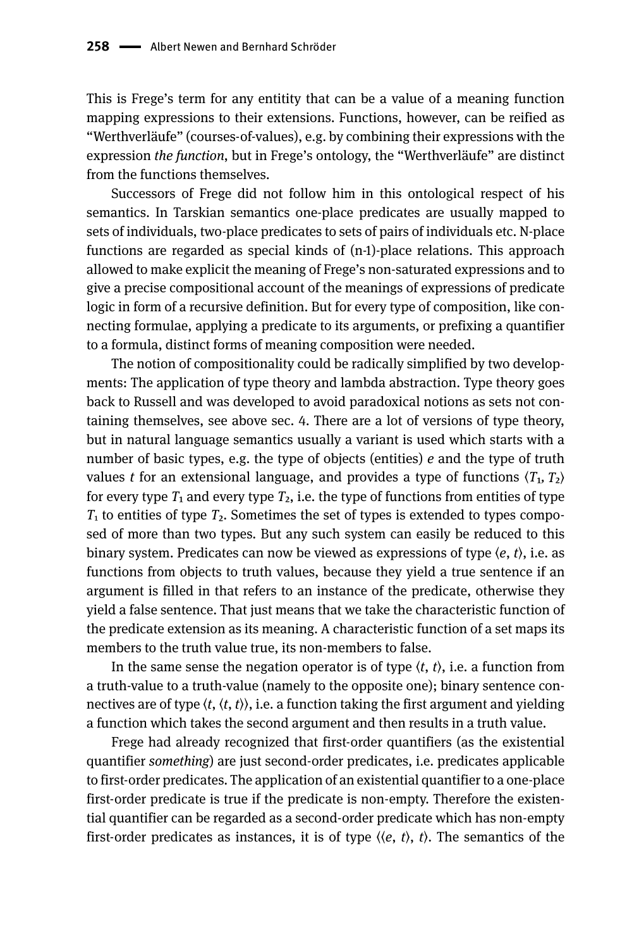This is Frege's term for any entitity that can be a value of a meaning function mapping expressions to their extensions. Functions, however, can be reified as "Werthverläufe" (courses-of-values), e.g. by combining their expressions with the expression *the function*, but in Frege's ontology, the "Werthverläufe" are distinct from the functions themselves.

Successors of Frege did not follow him in this ontological respect of his semantics. In Tarskian semantics one-place predicates are usually mapped to sets of individuals, two-place predicates to sets of pairs of individuals etc. N-place functions are regarded as special kinds of (n-1)-place relations. This approach allowed to make explicit the meaning of Frege's non-saturated expressions and to give a precise compositional account of the meanings of expressions of predicate logic in form of a recursive definition. But for every type of composition, like connecting formulae, applying a predicate to its arguments, or prefixing a quantifier to a formula, distinct forms of meaning composition were needed.

The notion of compositionality could be radically simplified by two developments: The application of type theory and lambda abstraction. Type theory goes back to Russell and was developed to avoid paradoxical notions as sets not containing themselves, see above sec. 4. There are a lot of versions of type theory, but in natural language semantics usually a variant is used which starts with a number of basic types, e.g. the type of objects (entities) *e* and the type of truth values *t* for an extensional language, and provides a type of functions  $\langle T_1, T_2 \rangle$ for every type  $T_1$  and every type  $T_2$ , i.e. the type of functions from entities of type  $T_1$  to entities of type  $T_2$ . Sometimes the set of types is extended to types composed of more than two types. But any such system can easily be reduced to this binary system. Predicates can now be viewed as expressions of type 〈*e*, *t*〉, i.e. as functions from objects to truth values, because they yield a true sentence if an argument is filled in that refers to an instance of the predicate, otherwise they yield a false sentence. That just means that we take the characteristic function of the predicate extension as its meaning. A characteristic function of a set maps its members to the truth value true, its non-members to false.

In the same sense the negation operator is of type  $\langle t, t \rangle$ , i.e. a function from a truth-value to a truth-value (namely to the opposite one); binary sentence connectives are of type  $\langle t, \langle t, t \rangle \rangle$ , i.e. a function taking the first argument and yielding a function which takes the second argument and then results in a truth value.

Frege had already recognized that first-order quantifiers (as the existential quantifier *something*) are just second-order predicates, i.e. predicates applicable to first-order predicates. The application of an existential quantifier to a one-place first-order predicate is true if the predicate is non-empty. Therefore the existential quantifier can be regarded as a second-order predicate which has non-empty first-order predicates as instances, it is of type  $\langle \langle e, t \rangle, t \rangle$ . The semantics of the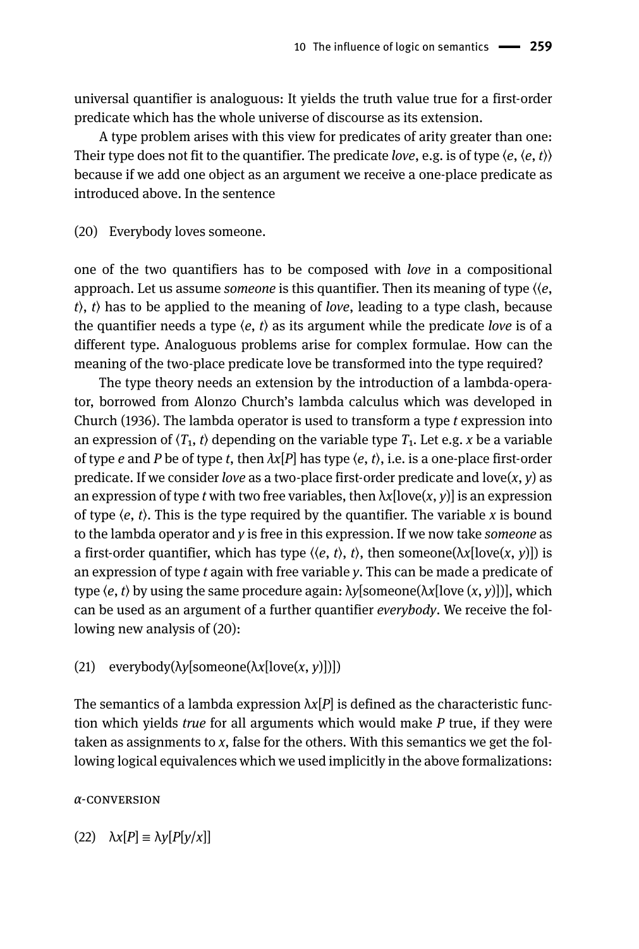universal quantifier is analoguous: It yields the truth value true for a first-order predicate which has the whole universe of discourse as its extension.

A type problem arises with this view for predicates of arity greater than one: Their type does not fit to the quantifier. The predicate *love*, e.g. is of type  $\langle e, \langle e, t \rangle \rangle$ because if we add one object as an argument we receive a one-place predicate as introduced above. In the sentence

(20) Everybody loves someone.

one of the two quantifiers has to be composed with *love* in a compositional approach. Let us assume *someone* is this quantifier. Then its meaning of type  $\langle \langle e, \rangle \rangle$ *t*〉, *t*〉 has to be applied to the meaning of *love*, leading to a type clash, because the quantifier needs a type  $\langle e, t \rangle$  as its argument while the predicate *love* is of a different type. Analoguous problems arise for complex formulae. How can the meaning of the two-place predicate love be transformed into the type required?

The type theory needs an extension by the introduction of a lambda-operator, borrowed from Alonzo Church's lambda calculus which was developed in Church (1936). The lambda operator is used to transform a type *t* expression into an expression of  $\langle T_1, t \rangle$  depending on the variable type  $T_1$ . Let e.g. *x* be a variable of type *e* and *P* be of type *t*, then  $\lambda x[P]$  has type  $\langle e, t \rangle$ , i.e. is a one-place first-order predicate. If we consider *love* as a two-place first-order predicate and love(*x*, *y*) as an expression of type *t* with two free variables, then  $\lambda x$ [love $(x, y)$ ] is an expression of type  $\langle e, t \rangle$ . This is the type required by the quantifier. The variable *x* is bound to the lambda operator and *y* is free in this expression. If we now take *someone* as a first-order quantifier, which has type  $\langle e, t \rangle$ , *t* $\rangle$ , then someone( $\lambda x$ [love( $x$ ,  $y$ ]]) is an expression of type *t* again with free variable *y*. This can be made a predicate of type 〈*e*, *t*〉 by using the same procedure again: λ*y*[someone(λ*x*[love (*x*, *y*)])], which can be used as an argument of a further quantifier *everybody*. We receive the following new analysis of (20):

(21) everybody(λ*y*[someone(λ*x*[love(*x*, *y*)])])

The semantics of a lambda expression  $\lambda x[P]$  is defined as the characteristic function which yields *true* for all arguments which would make *P* true, if they were taken as assignments to *x*, false for the others. With this semantics we get the following logical equivalences which we used implicitly in the above formalizations:

#### *α*-conversion

(22) λ*x*[*P*] ≡ λ*y*[*P*[*y*/*x*]]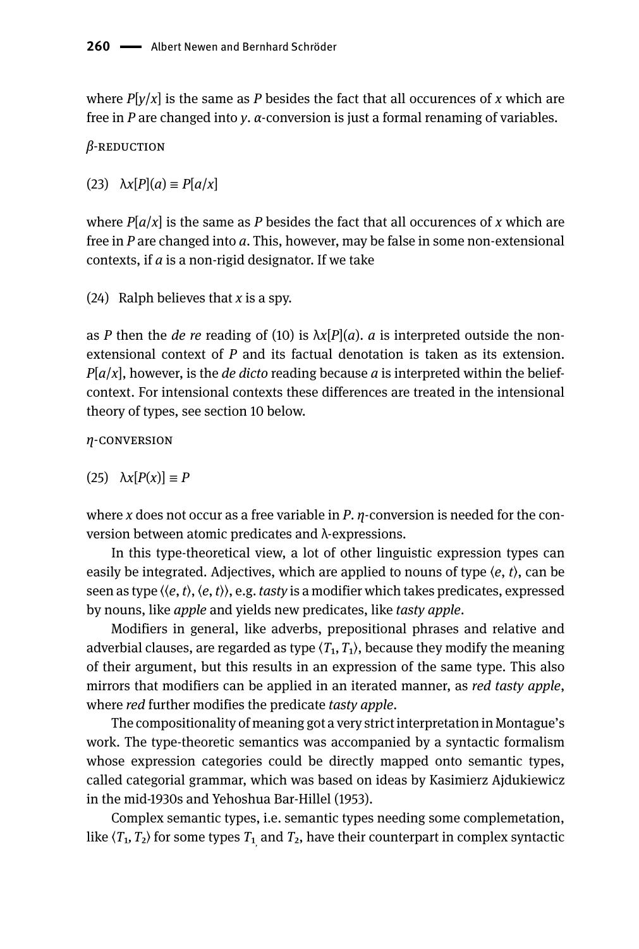where  $P[y/x]$  is the same as *P* besides the fact that all occurences of *x* which are free in *P* are changed into *y*. *α*-conversion is just a formal renaming of variables.

#### *β*-reduction

(23) λ*x*[*P*](*a*) ≡ *P*[*a*/*x*]

where  $P[a/x]$  is the same as P besides the fact that all occurences of x which are free in *P* are changed into *a*. This, however, may be false in some non-extensional contexts, if *a* is a non-rigid designator. If we take

(24) Ralph believes that *x* is a spy.

as *P* then the *de re* reading of (10) is  $\lambda x[P](a)$ . *a* is interpreted outside the nonextensional context of *P* and its factual denotation is taken as its extension.  $P[a/x]$ , however, is the *de dicto* reading because *a* is interpreted within the beliefcontext. For intensional contexts these differences are treated in the intensional theory of types, see section 10 below.

*η*-conversion

(25) λ*x*[*P*(*x*)] ≡ *P*

where *x* does not occur as a free variable in *P*. *η*-conversion is needed for the conversion between atomic predicates and λ-expressions.

In this type-theoretical view, a lot of other linguistic expression types can easily be integrated. Adjectives, which are applied to nouns of type  $\langle e, t \rangle$ , can be seen as type 〈〈*e*, *t*〉, 〈*e*, *t*〉〉, e.g. *tasty* is a modifier which takes predicates, expressed by nouns, like *apple* and yields new predicates, like *tasty apple*.

Modifiers in general, like adverbs, prepositional phrases and relative and adverbial clauses, are regarded as type  $\langle T_1, T_1 \rangle$ , because they modify the meaning of their argument, but this results in an expression of the same type. This also mirrors that modifiers can be applied in an iterated manner, as *red tasty apple*, where *red* further modifies the predicate *tasty apple*.

The compositionality of meaning got a very strict interpretation in Montague's work. The type-theoretic semantics was accompanied by a syntactic formalism whose expression categories could be directly mapped onto semantic types, called categorial grammar, which was based on ideas by Kasimierz Ajdukiewicz in the mid-1930s and Yehoshua Bar-Hillel (1953).

Complex semantic types, i.e. semantic types needing some complemetation, like  $\langle T_1, T_2 \rangle$  for some types  $T_{1}$  and  $T_2$ , have their counterpart in complex syntactic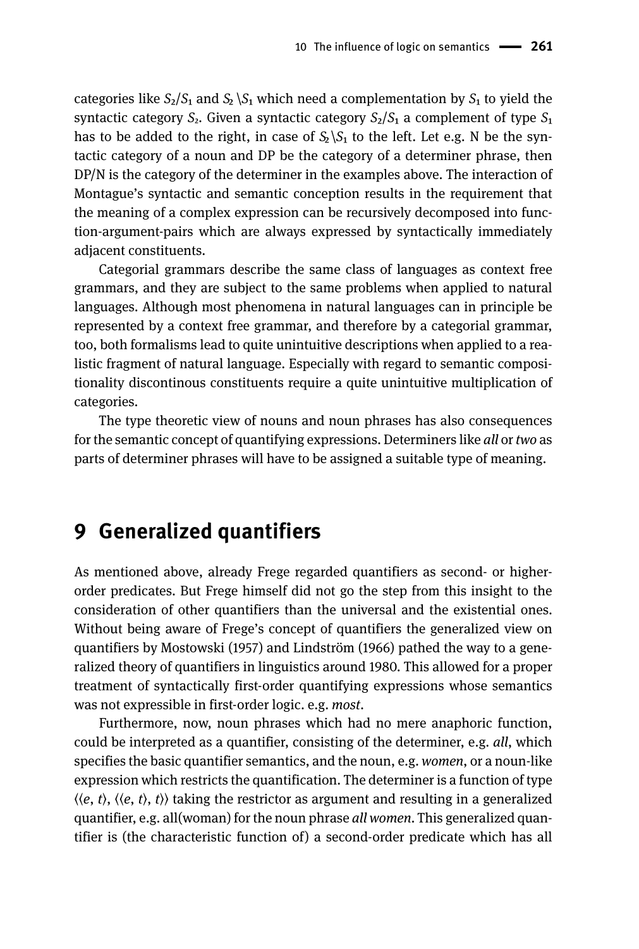categories like  $S_2/S_1$  and  $S_2 \setminus S_1$  which need a complementation by  $S_1$  to yield the syntactic category  $S_2$ . Given a syntactic category  $S_2/S_1$  a complement of type  $S_1$ has to be added to the right, in case of  $S_2\$ <sub>1</sub> to the left. Let e.g. N be the syntactic category of a noun and DP be the category of a determiner phrase, then DP/N is the category of the determiner in the examples above. The interaction of Montague's syntactic and semantic conception results in the requirement that the meaning of a complex expression can be recursively decomposed into function-argument-pairs which are always expressed by syntactically immediately adjacent constituents.

Categorial grammars describe the same class of languages as context free grammars, and they are subject to the same problems when applied to natural languages. Although most phenomena in natural languages can in principle be represented by a context free grammar, and therefore by a categorial grammar, too, both formalisms lead to quite unintuitive descriptions when applied to a realistic fragment of natural language. Especially with regard to semantic compositionality discontinous constituents require a quite unintuitive multiplication of categories.

The type theoretic view of nouns and noun phrases has also consequences for the semantic concept of quantifying expressions. Determiners like *all* or *two* as parts of determiner phrases will have to be assigned a suitable type of meaning.

#### **9 Generalized quantifiers**

As mentioned above, already Frege regarded quantifiers as second- or higherorder predicates. But Frege himself did not go the step from this insight to the consideration of other quantifiers than the universal and the existential ones. Without being aware of Frege's concept of quantifiers the generalized view on quantifiers by Mostowski (1957) and Lindström (1966) pathed the way to a generalized theory of quantifiers in linguistics around 1980. This allowed for a proper treatment of syntactically first-order quantifying expressions whose semantics was not expressible in first-order logic. e.g. *most*.

Furthermore, now, noun phrases which had no mere anaphoric function, could be interpreted as a quantifier, consisting of the determiner, e.g. *all*, which specifies the basic quantifier semantics, and the noun, e.g. *women*, or a noun-like expression which restricts the quantification. The determiner is a function of type  $\langle\langle e, t \rangle, \langle e, t \rangle, t \rangle$  taking the restrictor as argument and resulting in a generalized quantifier, e.g. all(woman) for the noun phrase *all women*. This generalized quantifier is (the characteristic function of) a second-order predicate which has all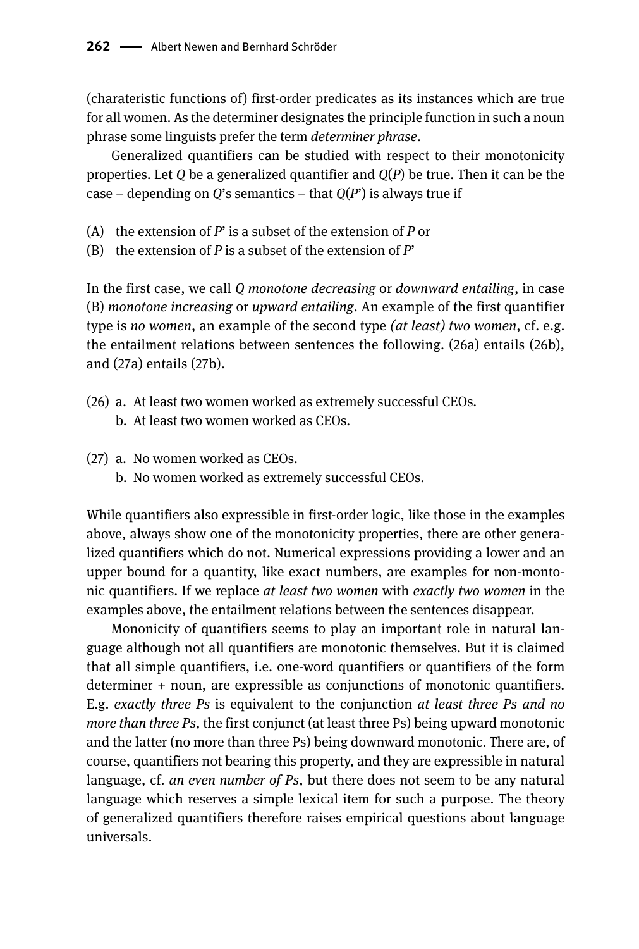(charateristic functions of) first-order predicates as its instances which are true for all women. As the determiner designates the principle function in such a noun phrase some linguists prefer the term *determiner phrase*.

Generalized quantifiers can be studied with respect to their monotonicity properties. Let *Q* be a generalized quantifier and *Q*(*P*) be true. Then it can be the case – depending on *Q*'s semantics – that  $Q(P')$  is always true if

- (A) the extension of *P*' is a subset of the extension of *P* or
- (B) the extension of *P* is a subset of the extension of *P*'

In the first case, we call *Q monotone decreasing* or *downward entailing*, in case (B) *monotone increasing* or *upward entailing*. An example of the first quantifier type is *no women*, an example of the second type *(at least) two women*, cf. e.g. the entailment relations between sentences the following. (26a) entails (26b), and (27a) entails (27b).

- (26) a. At least two women worked as extremely successful CEOs. b. At least two women worked as CEOs.
- (27) a. No women worked as CEOs.
	- b. No women worked as extremely successful CEOs.

While quantifiers also expressible in first-order logic, like those in the examples above, always show one of the monotonicity properties, there are other generalized quantifiers which do not. Numerical expressions providing a lower and an upper bound for a quantity, like exact numbers, are examples for non-montonic quantifiers. If we replace *at least two women* with *exactly two women* in the examples above, the entailment relations between the sentences disappear.

Mononicity of quantifiers seems to play an important role in natural language although not all quantifiers are monotonic themselves. But it is claimed that all simple quantifiers, i.e. one-word quantifiers or quantifiers of the form determiner + noun, are expressible as conjunctions of monotonic quantifiers. E.g. *exactly three Ps* is equivalent to the conjunction *at least three Ps and no more than three Ps*, the first conjunct (at least three Ps) being upward monotonic and the latter (no more than three Ps) being downward monotonic. There are, of course, quantifiers not bearing this property, and they are expressible in natural language, cf. *an even number of Ps*, but there does not seem to be any natural language which reserves a simple lexical item for such a purpose. The theory of generalized quantifiers therefore raises empirical questions about language universals.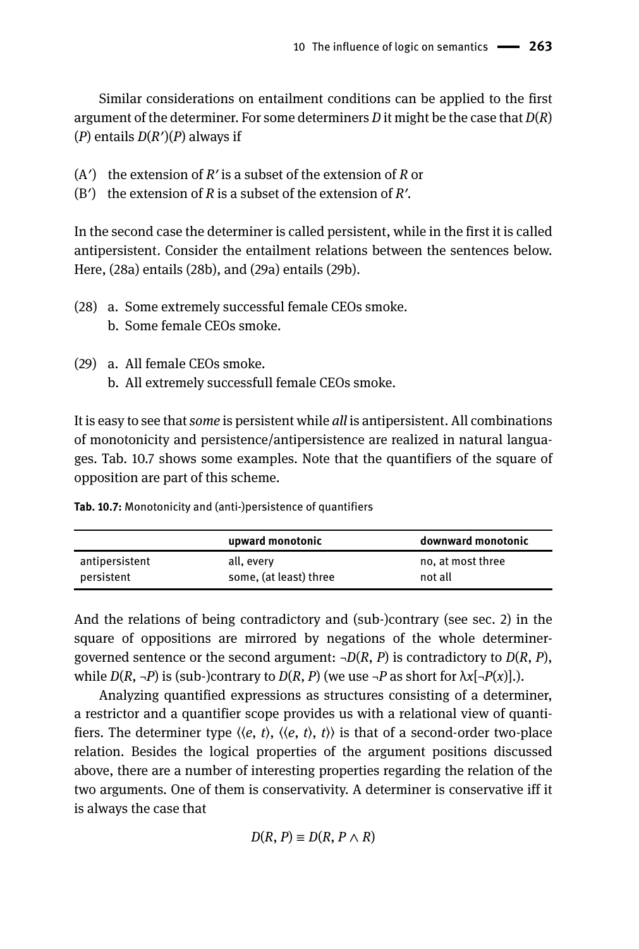Similar considerations on entailment conditions can be applied to the first argument of the determiner. For some determiners *D* it might be the case that *D*(*R*) (*P*) entails *D*(*R′*)(*P*) always if

- (A*′*) the extension of *R′* is a subset of the extension of *R* or
- (B*′*) the extension of *R* is a subset of the extension of *R′*.

In the second case the determiner is called persistent, while in the first it is called antipersistent. Consider the entailment relations between the sentences below. Here, (28a) entails (28b), and (29a) entails (29b).

- (28) a. Some extremely successful female CEOs smoke. b. Some female CEOs smoke.
- (29) a. All female CEOs smoke. b. All extremely successfull female CEOs smoke.

It is easy to see that *some* is persistent while *all* is antipersistent. All combinations of monotonicity and persistence/antipersistence are realized in natural languages. Tab. 10.7 shows some examples. Note that the quantifiers of the square of opposition are part of this scheme.

**Tab. 10.7:** Monotonicity and (anti-)persistence of quantifiers

|                | upward monotonic       | downward monotonic |
|----------------|------------------------|--------------------|
| antipersistent | all, every             | no, at most three  |
| persistent     | some, (at least) three | not all            |

And the relations of being contradictory and (sub-)contrary (see sec. 2) in the square of oppositions are mirrored by negations of the whole determinergoverned sentence or the second argument: ¬*D*(*R*, *P*) is contradictory to *D*(*R*, *P*), while  $D(R, \neg P)$  is (sub-)contrary to  $D(R, P)$  (we use  $\neg P$  as short for  $\lambda x[\neg P(x)]$ .).

Analyzing quantified expressions as structures consisting of a determiner, a restrictor and a quantifier scope provides us with a relational view of quantifiers. The determiner type  $\langle \langle e, t \rangle, \langle e, t \rangle$ ,  $\langle t \rangle$  is that of a second-order two-place relation. Besides the logical properties of the argument positions discussed above, there are a number of interesting properties regarding the relation of the two arguments. One of them is conservativity. A determiner is conservative iff it is always the case that

$$
D(R, P) \equiv D(R, P \wedge R)
$$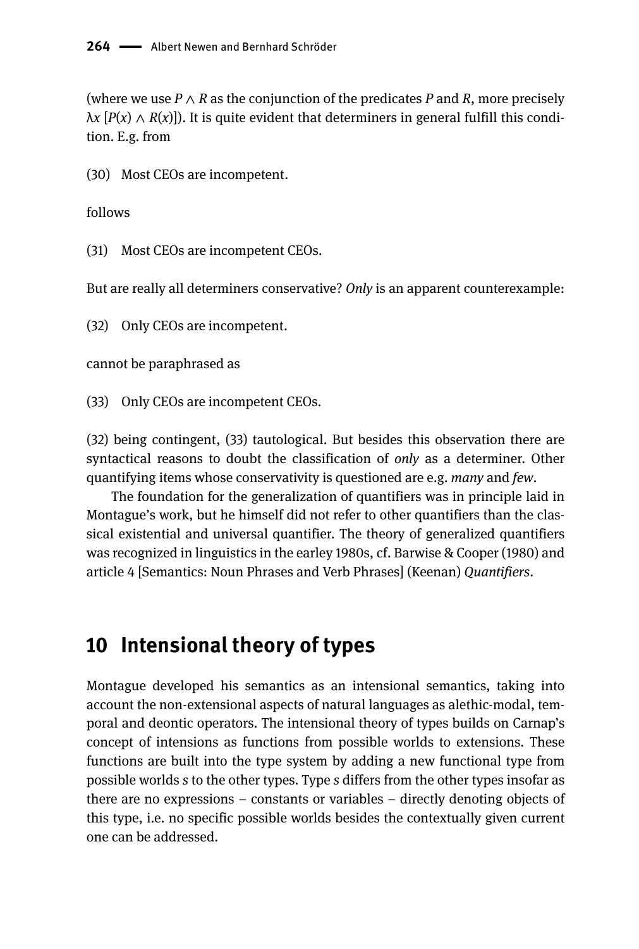(where we use  $P \wedge R$  as the conjunction of the predicates  $P$  and  $R$ , more precisely  $\lambda x$  [*P*(*x*)  $\wedge$  *R*(*x*)]). It is quite evident that determiners in general fulfill this condition. E.g. from

(30) Most CEOs are incompetent.

follows

(31) Most CEOs are incompetent CEOs.

But are really all determiners conservative? *Only* is an apparent counterexample:

(32) Only CEOs are incompetent.

cannot be paraphrased as

(33) Only CEOs are incompetent CEOs.

(32) being contingent, (33) tautological. But besides this observation there are syntactical reasons to doubt the classification of *only* as a determiner. Other quantifying items whose conservativity is questioned are e.g. *many* and *few*.

The foundation for the generalization of quantifiers was in principle laid in Montague's work, but he himself did not refer to other quantifiers than the classical existential and universal quantifier. The theory of generalized quantifiers was recognized in linguistics in the earley 1980s, cf. Barwise & Cooper (1980) and article 4 [Semantics: Noun Phrases and Verb Phrases] (Keenan) *Quantifiers*.

### **10 Intensional theory of types**

Montague developed his semantics as an intensional semantics, taking into account the non-extensional aspects of natural languages as alethic-modal, temporal and deontic operators. The intensional theory of types builds on Carnap's concept of intensions as functions from possible worlds to extensions. These functions are built into the type system by adding a new functional type from possible worlds *s* to the other types. Type *s* differs from the other types insofar as there are no expressions – constants or variables – directly denoting objects of this type, i.e. no specific possible worlds besides the contextually given current one can be addressed.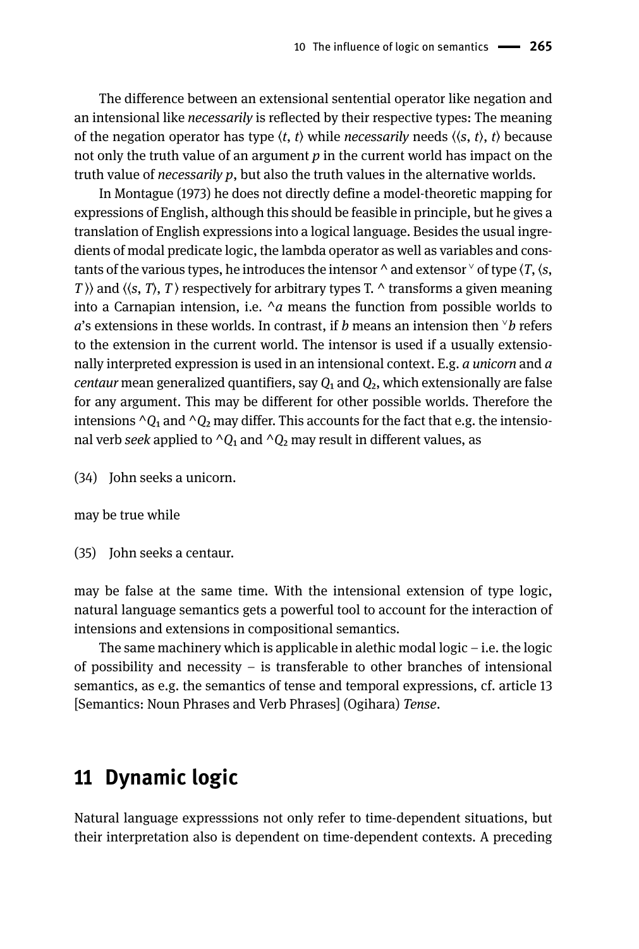The difference between an extensional sentential operator like negation and an intensional like *necessarily* is reflected by their respective types: The meaning of the negation operator has type  $\langle t, t \rangle$  while *necessarily* needs  $\langle \langle s, t \rangle, t \rangle$  because not only the truth value of an argument *p* in the current world has impact on the truth value of *necessarily p*, but also the truth values in the alternative worlds.

In Montague (1973) he does not directly define a model-theoretic mapping for expressions of English, although this should be feasible in principle, but he gives a translation of English expressions into a logical language. Besides the usual ingredients of modal predicate logic, the lambda operator as well as variables and constants of the various types, he introduces the intensor  $\land$  and extensor  $\lor$  of type  $\langle T, \langle s, \rangle$ *T*) and  $\langle \langle s, T \rangle$ , *T*  $\rangle$  respectively for arbitrary types T.  $\wedge$  transforms a given meaning into a Carnapian intension, i.e.  $\Delta a$  means the function from possible worlds to *a*'s extensions in these worlds. In contrast, if *b* means an intension then  $\forall$ *b* refers to the extension in the current world. The intensor is used if a usually extensionally interpreted expression is used in an intensional context. E.g. *a unicorn* and *a centaur* mean generalized quantifiers, say *Q*1 and *Q*2, which extensionally are false for any argument. This may be different for other possible worlds. Therefore the intensions  $^{\wedge}Q_1$  and  $^{\wedge}Q_2$  may differ. This accounts for the fact that e.g. the intensional verb *seek* applied to  $^{\wedge}Q_1$  and  $^{\wedge}Q_2$  may result in different values, as

(34) John seeks a unicorn.

may be true while

(35) John seeks a centaur.

may be false at the same time. With the intensional extension of type logic, natural language semantics gets a powerful tool to account for the interaction of intensions and extensions in compositional semantics.

The same machinery which is applicable in alethic modal logic  $-$  i.e. the logic of possibility and necessity – is transferable to other branches of intensional semantics, as e.g. the semantics of tense and temporal expressions, cf. article 13 [Semantics: Noun Phrases and Verb Phrases] (Ogihara) *Tense*.

### **11 Dynamic logic**

Natural language expresssions not only refer to time-dependent situations, but their interpretation also is dependent on time-dependent contexts. A preceding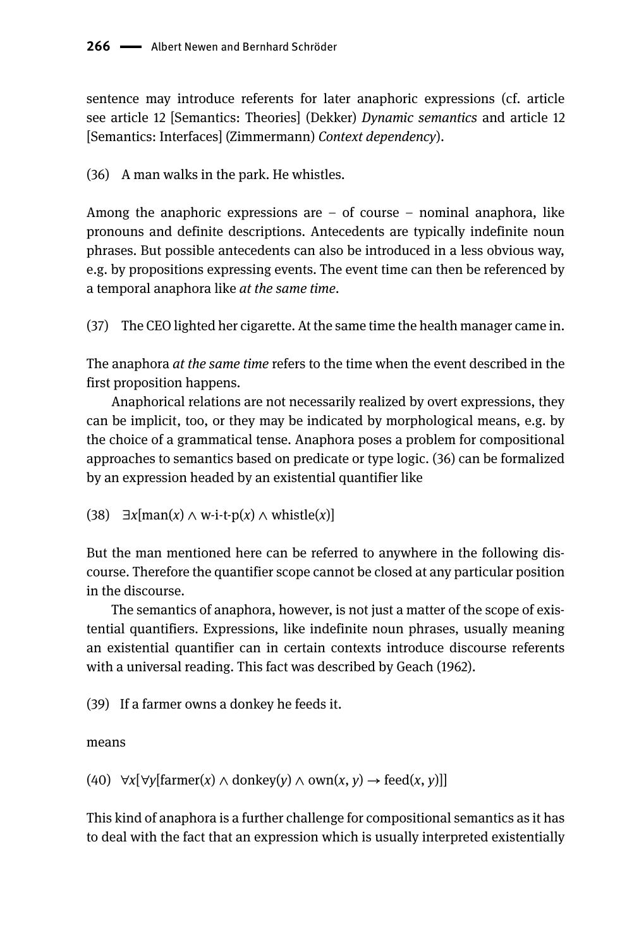sentence may introduce referents for later anaphoric expressions (cf. article see article 12 [Semantics: Theories] (Dekker) *Dynamic semantics* and article 12 [Semantics: Interfaces] (Zimmermann) *Context dependency*).

(36) A man walks in the park. He whistles.

Among the anaphoric expressions are  $-$  of course  $-$  nominal anaphora, like pronouns and definite descriptions. Antecedents are typically indefinite noun phrases. But possible antecedents can also be introduced in a less obvious way, e.g. by propositions expressing events. The event time can then be referenced by a temporal anaphora like *at the same time*.

(37) The CEO lighted her cigarette. At the same time the health manager came in.

The anaphora *at the same time* refers to the time when the event described in the first proposition happens.

Anaphorical relations are not necessarily realized by overt expressions, they can be implicit, too, or they may be indicated by morphological means, e.g. by the choice of a grammatical tense. Anaphora poses a problem for compositional approaches to semantics based on predicate or type logic. (36) can be formalized by an expression headed by an existential quantifier like

(38) ∃*x*[man(*x*) ∧ w-i-t-p(*x*) ∧ whistle(*x*)]

But the man mentioned here can be referred to anywhere in the following discourse. Therefore the quantifier scope cannot be closed at any particular position in the discourse.

The semantics of anaphora, however, is not just a matter of the scope of existential quantifiers. Expressions, like indefinite noun phrases, usually meaning an existential quantifier can in certain contexts introduce discourse referents with a universal reading. This fact was described by Geach (1962).

(39) If a farmer owns a donkey he feeds it.

means

(40) ∀*x*[∀*y*[farmer(*x*) ∧ donkey(*y*) ∧ own(*x*, *y*) → feed(*x*, *y*)]]

This kind of anaphora is a further challenge for compositional semantics as it has to deal with the fact that an expression which is usually interpreted existentially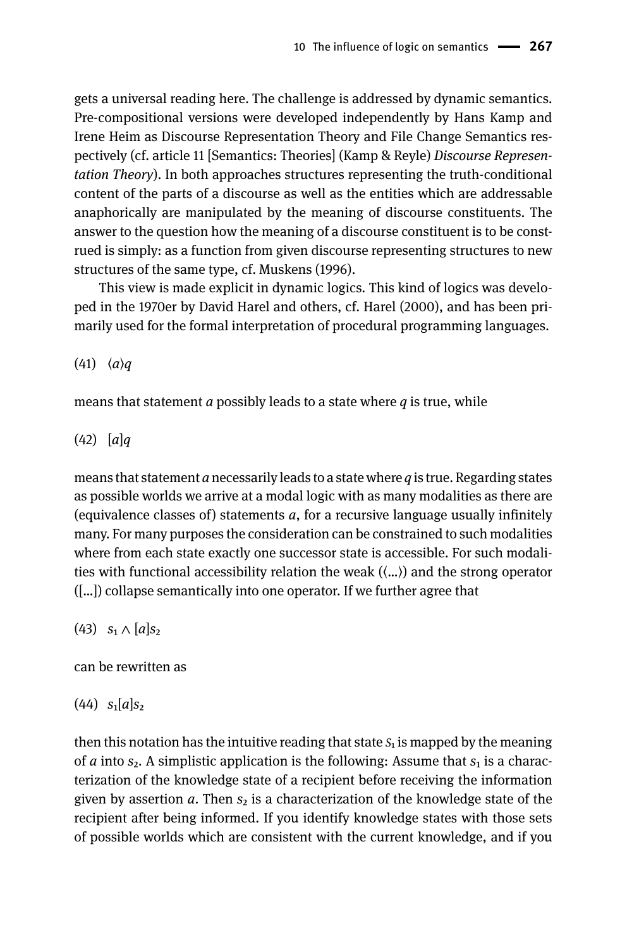gets a universal reading here. The challenge is addressed by dynamic semantics. Pre-compositional versions were developed independently by Hans Kamp and Irene Heim as Discourse Representation Theory and File Change Semantics respectively (cf. article 11 [Semantics: Theories] (Kamp & Reyle) *Discourse Representation Theory*). In both approaches structures representing the truth-conditional content of the parts of a discourse as well as the entities which are addressable anaphorically are manipulated by the meaning of discourse constituents. The answer to the question how the meaning of a discourse constituent is to be construed is simply: as a function from given discourse representing structures to new structures of the same type, cf. Muskens (1996).

This view is made explicit in dynamic logics. This kind of logics was developed in the 1970er by David Harel and others, cf. Harel (2000), and has been primarily used for the formal interpretation of procedural programming languages.

(41) 〈*a*〉*q*

means that statement *a* possibly leads to a state where *q* is true, while

(42) [*a*]*q*

means that statement *a* necessarily leads to a state where *q* is true. Regarding states as possible worlds we arrive at a modal logic with as many modalities as there are (equivalence classes of) statements *a*, for a recursive language usually infinitely many. For many purposes the consideration can be constrained to such modalities where from each state exactly one successor state is accessible. For such modalities with functional accessibility relation the weak (〈…〉) and the strong operator ([…]) collapse semantically into one operator. If we further agree that

 $(43)$  *s*<sub>1</sub> ∧ [*a*]*s*<sub>2</sub>

can be rewritten as

 $(44)$   $s_1[a]s_2$ 

then this notation has the intuitive reading that state  $S_1$  is mapped by the meaning of *a* into *s*<sub>2</sub>. A simplistic application is the following: Assume that *s*<sub>1</sub> is a characterization of the knowledge state of a recipient before receiving the information given by assertion  $a$ . Then  $s_2$  is a characterization of the knowledge state of the recipient after being informed. If you identify knowledge states with those sets of possible worlds which are consistent with the current knowledge, and if you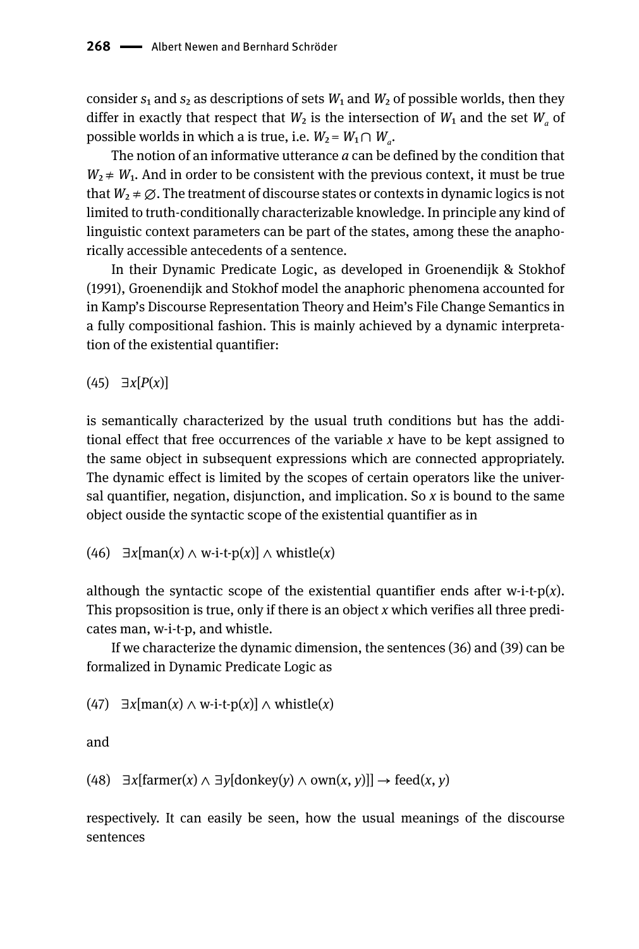consider  $s_1$  and  $s_2$  as descriptions of sets  $W_1$  and  $W_2$  of possible worlds, then they differ in exactly that respect that  $W_2$  is the intersection of  $W_1$  and the set  $W_a$  of possible worlds in which a is true, i.e.  $W_2 = W_1 \cap W_a$ .

The notion of an informative utterance *a* can be defined by the condition that  $W_2 \neq W_1$ . And in order to be consistent with the previous context, it must be true that  $W_2 \neq \emptyset$ . The treatment of discourse states or contexts in dynamic logics is not limited to truth-conditionally characterizable knowledge. In principle any kind of linguistic context parameters can be part of the states, among these the anaphorically accessible antecedents of a sentence.

In their Dynamic Predicate Logic, as developed in Groenendijk & Stokhof (1991), Groenendijk and Stokhof model the anaphoric phenomena accounted for in Kamp's Discourse Representation Theory and Heim's File Change Semantics in a fully compositional fashion. This is mainly achieved by a dynamic interpretation of the existential quantifier:

(45) ∃*x*[*P*(*x*)]

is semantically characterized by the usual truth conditions but has the additional effect that free occurrences of the variable *x* have to be kept assigned to the same object in subsequent expressions which are connected appropriately. The dynamic effect is limited by the scopes of certain operators like the universal quantifier, negation, disjunction, and implication. So *x* is bound to the same object ouside the syntactic scope of the existential quantifier as in

(46) ∃*x*[man(*x*) ∧ w-i-t-p(*x*)] ∧ whistle(*x*)

although the syntactic scope of the existential quantifier ends after w-i-t- $p(x)$ . This propsosition is true, only if there is an object *x* which verifies all three predicates man, w-i-t-p, and whistle.

If we characterize the dynamic dimension, the sentences (36) and (39) can be formalized in Dynamic Predicate Logic as

(47) ∃*x*[man(*x*) ∧ w-i-t-p(*x*)] ∧ whistle(*x*)

and

(48) ∃*x*[farmer(*x*) ∧ ∃*y*[donkey(*y*) ∧ own(*x*, *y*)]] → feed(*x*, *y*)

respectively. It can easily be seen, how the usual meanings of the discourse sentences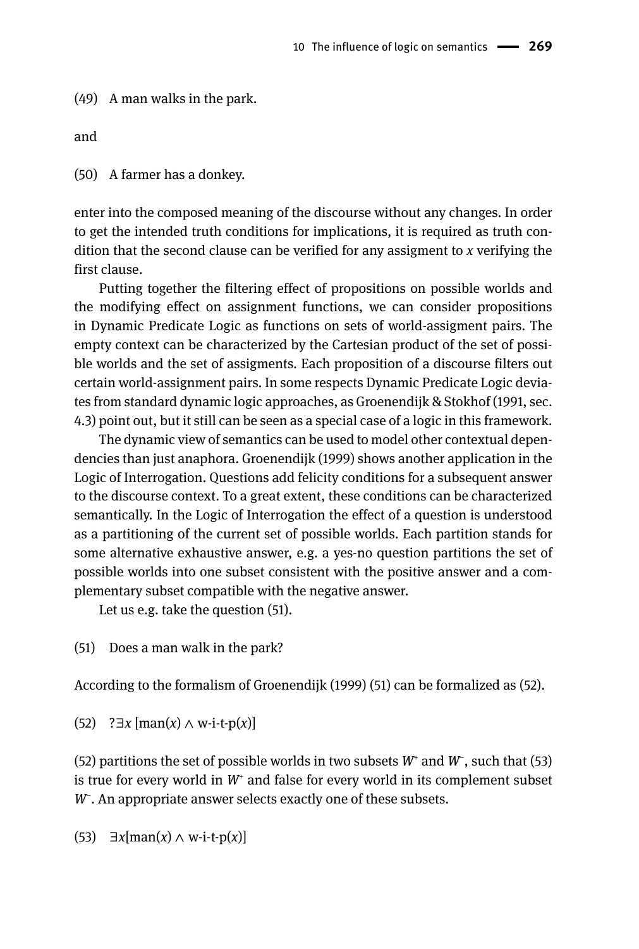(49) A man walks in the park.

and

(50) A farmer has a donkey.

enter into the composed meaning of the discourse without any changes. In order to get the intended truth conditions for implications, it is required as truth condition that the second clause can be verified for any assigment to *x* verifying the first clause.

Putting together the filtering effect of propositions on possible worlds and the modifying effect on assignment functions, we can consider propositions in Dynamic Predicate Logic as functions on sets of world-assigment pairs. The empty context can be characterized by the Cartesian product of the set of possible worlds and the set of assigments. Each proposition of a discourse filters out certain world-assignment pairs. In some respects Dynamic Predicate Logic deviates from standard dynamic logic approaches, as Groenendijk & Stokhof (1991, sec. 4.3) point out, but it still can be seen as a special case of a logic in this framework.

The dynamic view of semantics can be used to model other contextual dependencies than just anaphora. Groenendijk (1999) shows another application in the Logic of Interrogation. Questions add felicity conditions for a subsequent answer to the discourse context. To a great extent, these conditions can be characterized semantically. In the Logic of Interrogation the effect of a question is understood as a partitioning of the current set of possible worlds. Each partition stands for some alternative exhaustive answer, e.g. a yes-no question partitions the set of possible worlds into one subset consistent with the positive answer and a complementary subset compatible with the negative answer.

Let us e.g. take the question (51).

(51) Does a man walk in the park?

According to the formalism of Groenendijk (1999) (51) can be formalized as (52).

(52) ?∃*x* [man(*x*) ∧ w-i-t-p(*x*)]

(52) partitions the set of possible worlds in two subsets  $W^*$  and  $W^-$ , such that (53) is true for every world in  $W^*$  and false for every world in its complement subset *W*– . An appropriate answer selects exactly one of these subsets.

(53) ∃*x*[man(*x*) ∧ w-i-t-p(*x*)]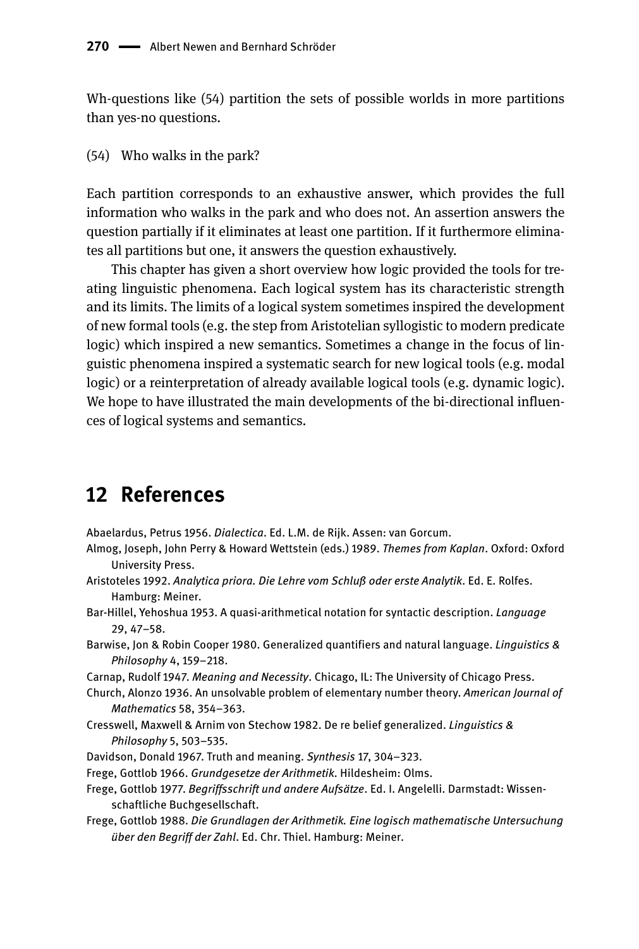Wh-questions like (54) partition the sets of possible worlds in more partitions than yes-no questions.

(54) Who walks in the park?

Each partition corresponds to an exhaustive answer, which provides the full information who walks in the park and who does not. An assertion answers the question partially if it eliminates at least one partition. If it furthermore eliminates all partitions but one, it answers the question exhaustively.

This chapter has given a short overview how logic provided the tools for treating linguistic phenomena. Each logical system has its characteristic strength and its limits. The limits of a logical system sometimes inspired the development of new formal tools (e.g. the step from Aristotelian syllogistic to modern predicate logic) which inspired a new semantics. Sometimes a change in the focus of linguistic phenomena inspired a systematic search for new logical tools (e.g. modal logic) or a reinterpretation of already available logical tools (e.g. dynamic logic). We hope to have illustrated the main developments of the bi-directional influences of logical systems and semantics.

#### **12 References**

Abaelardus, Petrus 1956. *Dialectica*. Ed. L.M. de Rijk. Assen: van Gorcum.

- Almog, Joseph, John Perry & Howard Wettstein (eds.) 1989. *Themes from Kaplan*. Oxford: Oxford University Press.
- Aristoteles 1992. *Analytica priora. Die Lehre vom Schluß oder erste Analytik*. Ed. E. Rolfes. Hamburg: Meiner.
- Bar-Hillel, Yehoshua 1953. A quasi-arithmetical notation for syntactic description. *Language* 29, 47–58.
- Barwise, Jon & Robin Cooper 1980. Generalized quantifiers and natural language. *Linguistics & Philosophy* 4, 159–218.
- Carnap, Rudolf 1947. *Meaning and Necessity*. Chicago, IL: The University of Chicago Press.
- Church, Alonzo 1936. An unsolvable problem of elementary number theory. *American Journal of Mathematics* 58, 354–363.
- Cresswell, Maxwell & Arnim von Stechow 1982. De re belief generalized. *Linguistics & Philosophy* 5, 503–535.
- Davidson, Donald 1967. Truth and meaning. *Synthesis* 17, 304–323.
- Frege, Gottlob 1966. *Grundgesetze der Arithmetik*. Hildesheim: Olms.
- Frege, Gottlob 1977. *Begriffsschrift und andere Aufsätze*. Ed. I. Angelelli. Darmstadt: Wissenschaftliche Buchgesellschaft.
- Frege, Gottlob 1988. *Die Grundlagen der Arithmetik. Eine logisch mathematische Untersuchung über den Begriff der Zahl*. Ed. Chr. Thiel. Hamburg: Meiner.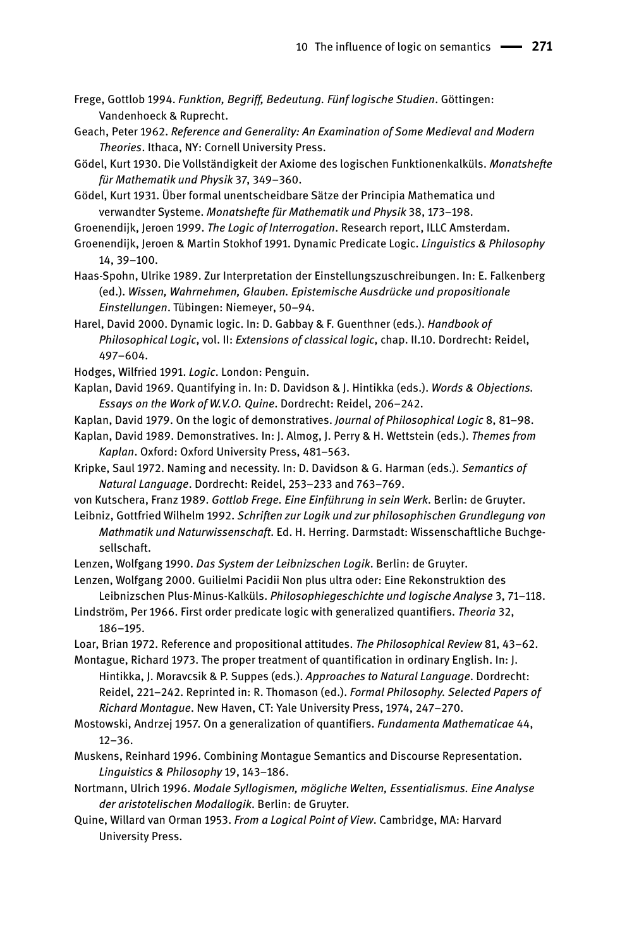- Frege, Gottlob 1994. *Funktion, Begriff, Bedeutung. Fünf logische Studien*. Göttingen: Vandenhoeck & Ruprecht.
- Geach, Peter 1962. *Reference and Generality: An Examination of Some Medieval and Modern Theories*. Ithaca, NY: Cornell University Press.
- Gödel, Kurt 1930. Die Vollständigkeit der Axiome des logischen Funktionenkalküls. *Monatshefte für Mathematik und Physik* 37, 349–360.
- Gödel, Kurt 1931. Über formal unentscheidbare Sätze der Principia Mathematica und verwandter Systeme. *Monatshefte für Mathematik und Physik* 38, 173–198.
- Groenendijk, Jeroen 1999. *The Logic of Interrogation*. Research report, ILLC Amsterdam.
- Groenendijk, Jeroen & Martin Stokhof 1991. Dynamic Predicate Logic. *Linguistics & Philosophy* 14, 39–100.
- Haas-Spohn, Ulrike 1989. Zur Interpretation der Einstellungszuschreibungen. In: E. Falkenberg (ed.). *Wissen, Wahrnehmen, Glauben. Epistemische Ausdrücke und propositionale Einstellungen*. Tübingen: Niemeyer, 50–94.
- Harel, David 2000. Dynamic logic. In: D. Gabbay & F. Guenthner (eds.). *Handbook of Philosophical Logic*, vol. II: *Extensions of classical logic*, chap. II.10. Dordrecht: Reidel, 497–604.
- Hodges, Wilfried 1991. *Logic*. London: Penguin.
- Kaplan, David 1969. Quantifying in. In: D. Davidson & J. Hintikka (eds.). *Words & Objections. Essays on the Work of W.V.O. Quine*. Dordrecht: Reidel, 206–242.
- Kaplan, David 1979. On the logic of demonstratives. *Journal of Philosophical Logic* 8, 81–98.
- Kaplan, David 1989. Demonstratives. In: J. Almog, J. Perry & H. Wettstein (eds.). *Themes from Kaplan*. Oxford: Oxford University Press, 481–563.
- Kripke, Saul 1972. Naming and necessity. In: D. Davidson & G. Harman (eds.). *Semantics of Natural Language*. Dordrecht: Reidel, 253–233 and 763–769.
- von Kutschera, Franz 1989. *Gottlob Frege. Eine Einführung in sein Werk*. Berlin: de Gruyter.
- Leibniz, Gottfried Wilhelm 1992. *Schriften zur Logik und zur philosophischen Grundlegung von Mathmatik und Naturwissenschaft*. Ed. H. Herring. Darmstadt: Wissenschaftliche Buchgesellschaft.
- Lenzen, Wolfgang 1990. *Das System der Leibnizschen Logik*. Berlin: de Gruyter.
- Lenzen, Wolfgang 2000. Guilielmi Pacidii Non plus ultra oder: Eine Rekonstruktion des Leibnizschen Plus-Minus-Kalküls. *Philosophiegeschichte und logische Analyse* 3, 71–118.
- Lindström, Per 1966. First order predicate logic with generalized quantifiers. *Theoria* 32, 186–195.
- Loar, Brian 1972. Reference and propositional attitudes. *The Philosophical Review* 81, 43–62. Montague, Richard 1973. The proper treatment of quantification in ordinary English. In: J.
- Hintikka, J. Moravcsik & P. Suppes (eds.). *Approaches to Natural Language*. Dordrecht: Reidel, 221–242. Reprinted in: R. Thomason (ed.). *Formal Philosophy. Selected Papers of Richard Montague*. New Haven, CT: Yale University Press, 1974, 247–270.
- Mostowski, Andrzej 1957. On a generalization of quantifiers. *Fundamenta Mathematicae* 44, 12–36.
- Muskens, Reinhard 1996. Combining Montague Semantics and Discourse Representation. *Linguistics & Philosophy* 19, 143–186.
- Nortmann, Ulrich 1996. *Modale Syllogismen, mögliche Welten, Essentialismus. Eine Analyse der aristotelischen Modallogik*. Berlin: de Gruyter.
- Quine, Willard van Orman 1953. *From a Logical Point of View*. Cambridge, MA: Harvard University Press.